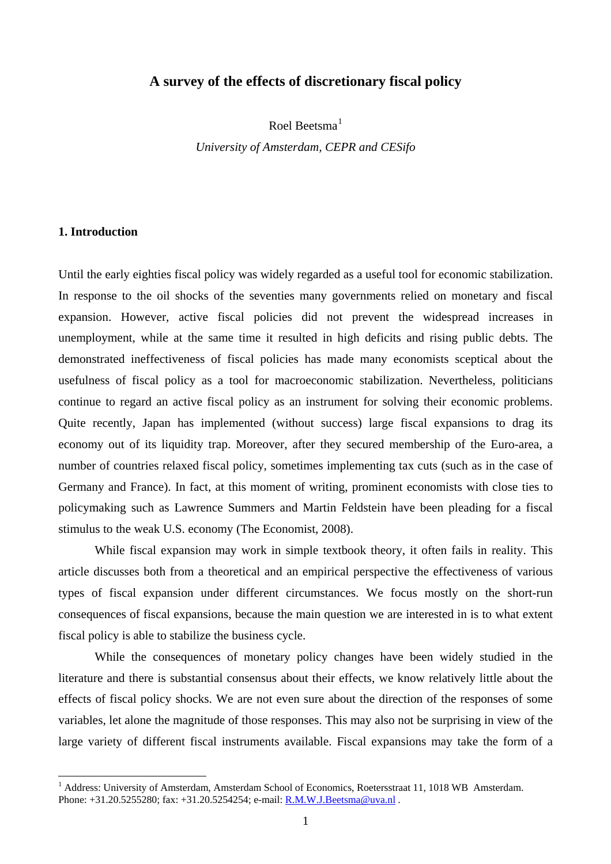# **A survey of the effects of discretionary fiscal policy**

Roel Beetsma $<sup>1</sup>$  $<sup>1</sup>$  $<sup>1</sup>$ </sup> *University of Amsterdam, CEPR and CESifo* 

# **1. Introduction**

 $\overline{a}$ 

Until the early eighties fiscal policy was widely regarded as a useful tool for economic stabilization. In response to the oil shocks of the seventies many governments relied on monetary and fiscal expansion. However, active fiscal policies did not prevent the widespread increases in unemployment, while at the same time it resulted in high deficits and rising public debts. The demonstrated ineffectiveness of fiscal policies has made many economists sceptical about the usefulness of fiscal policy as a tool for macroeconomic stabilization. Nevertheless, politicians continue to regard an active fiscal policy as an instrument for solving their economic problems. Quite recently, Japan has implemented (without success) large fiscal expansions to drag its economy out of its liquidity trap. Moreover, after they secured membership of the Euro-area, a number of countries relaxed fiscal policy, sometimes implementing tax cuts (such as in the case of Germany and France). In fact, at this moment of writing, prominent economists with close ties to policymaking such as Lawrence Summers and Martin Feldstein have been pleading for a fiscal stimulus to the weak U.S. economy (The Economist, 2008).

While fiscal expansion may work in simple textbook theory, it often fails in reality. This article discusses both from a theoretical and an empirical perspective the effectiveness of various types of fiscal expansion under different circumstances. We focus mostly on the short-run consequences of fiscal expansions, because the main question we are interested in is to what extent fiscal policy is able to stabilize the business cycle.

While the consequences of monetary policy changes have been widely studied in the literature and there is substantial consensus about their effects, we know relatively little about the effects of fiscal policy shocks. We are not even sure about the direction of the responses of some variables, let alone the magnitude of those responses. This may also not be surprising in view of the large variety of different fiscal instruments available. Fiscal expansions may take the form of a

<span id="page-0-0"></span><sup>&</sup>lt;sup>1</sup> Address: University of Amsterdam, Amsterdam School of Economics, Roetersstraat 11, 1018 WB Amsterdam. Phone: +31.20.5255280; fax: +31.20.5254254; e-mail: **[R.M.W.J.Beetsma@uva.nl](mailto:R.M.W.J.Beetsma@uva.nl)**.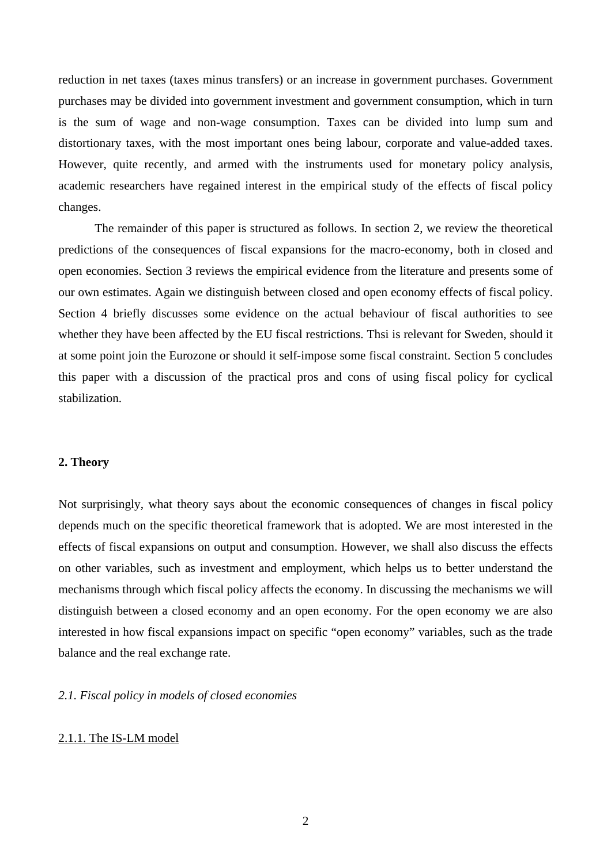reduction in net taxes (taxes minus transfers) or an increase in government purchases. Government purchases may be divided into government investment and government consumption, which in turn is the sum of wage and non-wage consumption. Taxes can be divided into lump sum and distortionary taxes, with the most important ones being labour, corporate and value-added taxes. However, quite recently, and armed with the instruments used for monetary policy analysis, academic researchers have regained interest in the empirical study of the effects of fiscal policy changes.

The remainder of this paper is structured as follows. In section 2, we review the theoretical predictions of the consequences of fiscal expansions for the macro-economy, both in closed and open economies. Section 3 reviews the empirical evidence from the literature and presents some of our own estimates. Again we distinguish between closed and open economy effects of fiscal policy. Section 4 briefly discusses some evidence on the actual behaviour of fiscal authorities to see whether they have been affected by the EU fiscal restrictions. Thsi is relevant for Sweden, should it at some point join the Eurozone or should it self-impose some fiscal constraint. Section 5 concludes this paper with a discussion of the practical pros and cons of using fiscal policy for cyclical stabilization.

### **2. Theory**

Not surprisingly, what theory says about the economic consequences of changes in fiscal policy depends much on the specific theoretical framework that is adopted. We are most interested in the effects of fiscal expansions on output and consumption. However, we shall also discuss the effects on other variables, such as investment and employment, which helps us to better understand the mechanisms through which fiscal policy affects the economy. In discussing the mechanisms we will distinguish between a closed economy and an open economy. For the open economy we are also interested in how fiscal expansions impact on specific "open economy" variables, such as the trade balance and the real exchange rate.

### *2.1. Fiscal policy in models of closed economies*

### 2.1.1. The IS-LM model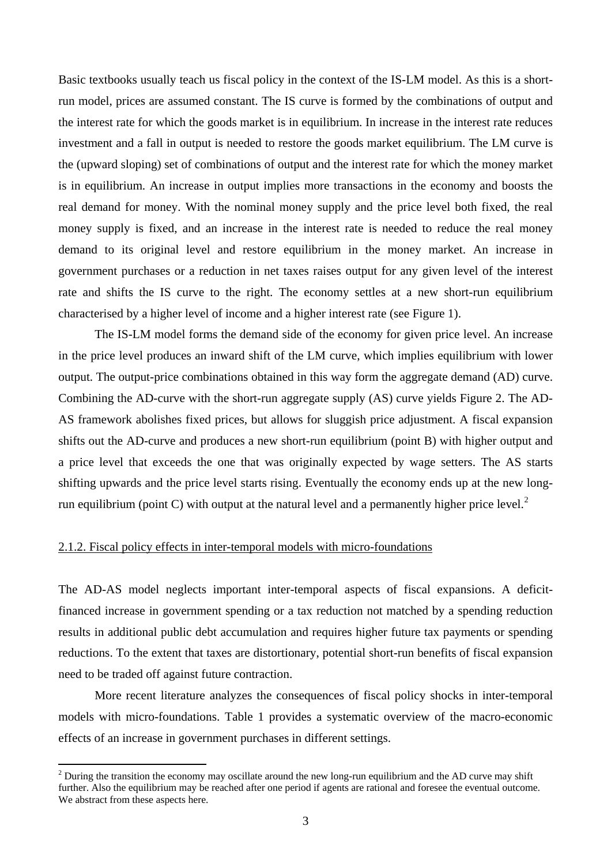Basic textbooks usually teach us fiscal policy in the context of the IS-LM model. As this is a shortrun model, prices are assumed constant. The IS curve is formed by the combinations of output and the interest rate for which the goods market is in equilibrium. In increase in the interest rate reduces investment and a fall in output is needed to restore the goods market equilibrium. The LM curve is the (upward sloping) set of combinations of output and the interest rate for which the money market is in equilibrium. An increase in output implies more transactions in the economy and boosts the real demand for money. With the nominal money supply and the price level both fixed, the real money supply is fixed, and an increase in the interest rate is needed to reduce the real money demand to its original level and restore equilibrium in the money market. An increase in government purchases or a reduction in net taxes raises output for any given level of the interest rate and shifts the IS curve to the right. The economy settles at a new short-run equilibrium characterised by a higher level of income and a higher interest rate (see Figure 1).

The IS-LM model forms the demand side of the economy for given price level. An increase in the price level produces an inward shift of the LM curve, which implies equilibrium with lower output. The output-price combinations obtained in this way form the aggregate demand (AD) curve. Combining the AD-curve with the short-run aggregate supply (AS) curve yields Figure 2. The AD-AS framework abolishes fixed prices, but allows for sluggish price adjustment. A fiscal expansion shifts out the AD-curve and produces a new short-run equilibrium (point B) with higher output and a price level that exceeds the one that was originally expected by wage setters. The AS starts shifting upwards and the price level starts rising. Eventually the economy ends up at the new long-run equilibrium (point C) with output at the natural level and a permanently higher price level.<sup>[2](#page-2-0)</sup>

#### 2.1.2. Fiscal policy effects in inter-temporal models with micro-foundations

 $\overline{a}$ 

The AD-AS model neglects important inter-temporal aspects of fiscal expansions. A deficitfinanced increase in government spending or a tax reduction not matched by a spending reduction results in additional public debt accumulation and requires higher future tax payments or spending reductions. To the extent that taxes are distortionary, potential short-run benefits of fiscal expansion need to be traded off against future contraction.

More recent literature analyzes the consequences of fiscal policy shocks in inter-temporal models with micro-foundations. Table 1 provides a systematic overview of the macro-economic effects of an increase in government purchases in different settings.

<span id="page-2-0"></span> $2^2$  During the transition the economy may oscillate around the new long-run equilibrium and the AD curve may shift further. Also the equilibrium may be reached after one period if agents are rational and foresee the eventual outcome. We abstract from these aspects here.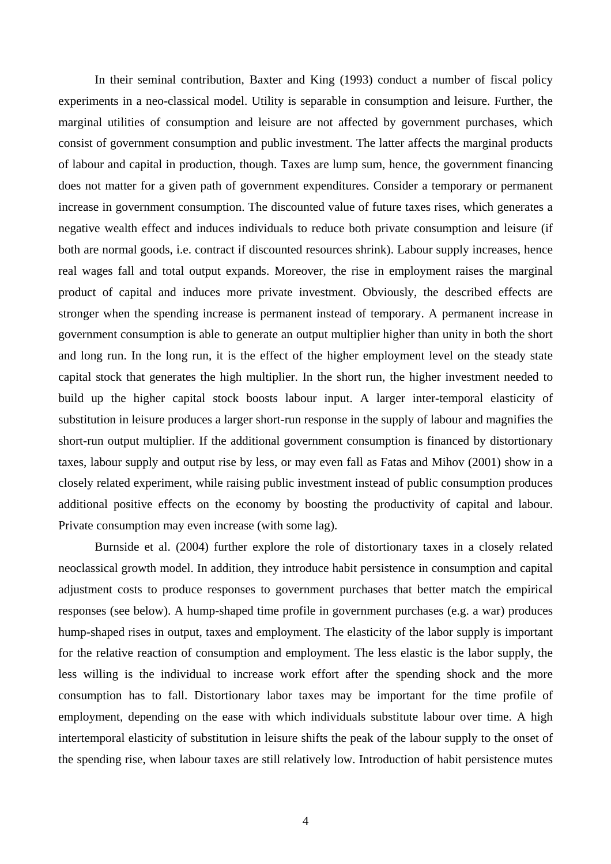In their seminal contribution, Baxter and King (1993) conduct a number of fiscal policy experiments in a neo-classical model. Utility is separable in consumption and leisure. Further, the marginal utilities of consumption and leisure are not affected by government purchases, which consist of government consumption and public investment. The latter affects the marginal products of labour and capital in production, though. Taxes are lump sum, hence, the government financing does not matter for a given path of government expenditures. Consider a temporary or permanent increase in government consumption. The discounted value of future taxes rises, which generates a negative wealth effect and induces individuals to reduce both private consumption and leisure (if both are normal goods, i.e. contract if discounted resources shrink). Labour supply increases, hence real wages fall and total output expands. Moreover, the rise in employment raises the marginal product of capital and induces more private investment. Obviously, the described effects are stronger when the spending increase is permanent instead of temporary. A permanent increase in government consumption is able to generate an output multiplier higher than unity in both the short and long run. In the long run, it is the effect of the higher employment level on the steady state capital stock that generates the high multiplier. In the short run, the higher investment needed to build up the higher capital stock boosts labour input. A larger inter-temporal elasticity of substitution in leisure produces a larger short-run response in the supply of labour and magnifies the short-run output multiplier. If the additional government consumption is financed by distortionary taxes, labour supply and output rise by less, or may even fall as Fatas and Mihov (2001) show in a closely related experiment, while raising public investment instead of public consumption produces additional positive effects on the economy by boosting the productivity of capital and labour. Private consumption may even increase (with some lag).

Burnside et al. (2004) further explore the role of distortionary taxes in a closely related neoclassical growth model. In addition, they introduce habit persistence in consumption and capital adjustment costs to produce responses to government purchases that better match the empirical responses (see below). A hump-shaped time profile in government purchases (e.g. a war) produces hump-shaped rises in output, taxes and employment. The elasticity of the labor supply is important for the relative reaction of consumption and employment. The less elastic is the labor supply, the less willing is the individual to increase work effort after the spending shock and the more consumption has to fall. Distortionary labor taxes may be important for the time profile of employment, depending on the ease with which individuals substitute labour over time. A high intertemporal elasticity of substitution in leisure shifts the peak of the labour supply to the onset of the spending rise, when labour taxes are still relatively low. Introduction of habit persistence mutes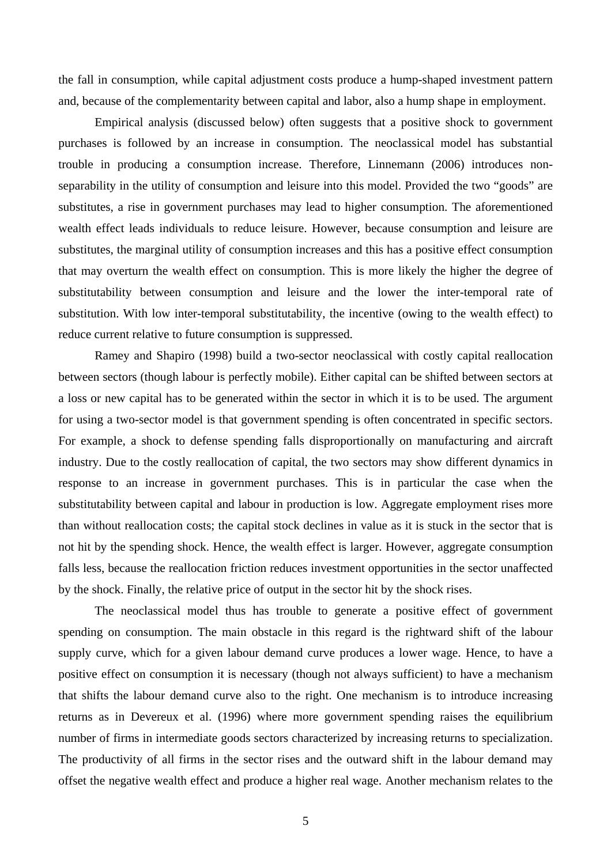the fall in consumption, while capital adjustment costs produce a hump-shaped investment pattern and, because of the complementarity between capital and labor, also a hump shape in employment.

Empirical analysis (discussed below) often suggests that a positive shock to government purchases is followed by an increase in consumption. The neoclassical model has substantial trouble in producing a consumption increase. Therefore, Linnemann (2006) introduces nonseparability in the utility of consumption and leisure into this model. Provided the two "goods" are substitutes, a rise in government purchases may lead to higher consumption. The aforementioned wealth effect leads individuals to reduce leisure. However, because consumption and leisure are substitutes, the marginal utility of consumption increases and this has a positive effect consumption that may overturn the wealth effect on consumption. This is more likely the higher the degree of substitutability between consumption and leisure and the lower the inter-temporal rate of substitution. With low inter-temporal substitutability, the incentive (owing to the wealth effect) to reduce current relative to future consumption is suppressed.

Ramey and Shapiro (1998) build a two-sector neoclassical with costly capital reallocation between sectors (though labour is perfectly mobile). Either capital can be shifted between sectors at a loss or new capital has to be generated within the sector in which it is to be used. The argument for using a two-sector model is that government spending is often concentrated in specific sectors. For example, a shock to defense spending falls disproportionally on manufacturing and aircraft industry. Due to the costly reallocation of capital, the two sectors may show different dynamics in response to an increase in government purchases. This is in particular the case when the substitutability between capital and labour in production is low. Aggregate employment rises more than without reallocation costs; the capital stock declines in value as it is stuck in the sector that is not hit by the spending shock. Hence, the wealth effect is larger. However, aggregate consumption falls less, because the reallocation friction reduces investment opportunities in the sector unaffected by the shock. Finally, the relative price of output in the sector hit by the shock rises.

The neoclassical model thus has trouble to generate a positive effect of government spending on consumption. The main obstacle in this regard is the rightward shift of the labour supply curve, which for a given labour demand curve produces a lower wage. Hence, to have a positive effect on consumption it is necessary (though not always sufficient) to have a mechanism that shifts the labour demand curve also to the right. One mechanism is to introduce increasing returns as in Devereux et al. (1996) where more government spending raises the equilibrium number of firms in intermediate goods sectors characterized by increasing returns to specialization. The productivity of all firms in the sector rises and the outward shift in the labour demand may offset the negative wealth effect and produce a higher real wage. Another mechanism relates to the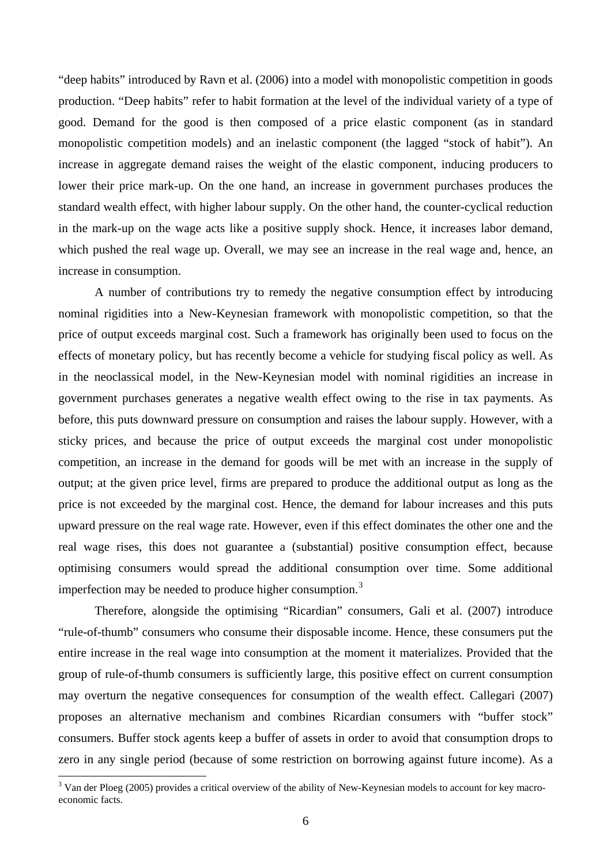"deep habits" introduced by Ravn et al. (2006) into a model with monopolistic competition in goods production. "Deep habits" refer to habit formation at the level of the individual variety of a type of good. Demand for the good is then composed of a price elastic component (as in standard monopolistic competition models) and an inelastic component (the lagged "stock of habit"). An increase in aggregate demand raises the weight of the elastic component, inducing producers to lower their price mark-up. On the one hand, an increase in government purchases produces the standard wealth effect, with higher labour supply. On the other hand, the counter-cyclical reduction in the mark-up on the wage acts like a positive supply shock. Hence, it increases labor demand, which pushed the real wage up. Overall, we may see an increase in the real wage and, hence, an increase in consumption.

A number of contributions try to remedy the negative consumption effect by introducing nominal rigidities into a New-Keynesian framework with monopolistic competition, so that the price of output exceeds marginal cost. Such a framework has originally been used to focus on the effects of monetary policy, but has recently become a vehicle for studying fiscal policy as well. As in the neoclassical model, in the New-Keynesian model with nominal rigidities an increase in government purchases generates a negative wealth effect owing to the rise in tax payments. As before, this puts downward pressure on consumption and raises the labour supply. However, with a sticky prices, and because the price of output exceeds the marginal cost under monopolistic competition, an increase in the demand for goods will be met with an increase in the supply of output; at the given price level, firms are prepared to produce the additional output as long as the price is not exceeded by the marginal cost. Hence, the demand for labour increases and this puts upward pressure on the real wage rate. However, even if this effect dominates the other one and the real wage rises, this does not guarantee a (substantial) positive consumption effect, because optimising consumers would spread the additional consumption over time. Some additional imperfection may be needed to produce higher consumption.<sup>[3](#page-5-0)</sup>

Therefore, alongside the optimising "Ricardian" consumers, Gali et al. (2007) introduce "rule-of-thumb" consumers who consume their disposable income. Hence, these consumers put the entire increase in the real wage into consumption at the moment it materializes. Provided that the group of rule-of-thumb consumers is sufficiently large, this positive effect on current consumption may overturn the negative consequences for consumption of the wealth effect. Callegari (2007) proposes an alternative mechanism and combines Ricardian consumers with "buffer stock" consumers. Buffer stock agents keep a buffer of assets in order to avoid that consumption drops to zero in any single period (because of some restriction on borrowing against future income). As a

<span id="page-5-0"></span> $3$  Van der Ploeg (2005) provides a critical overview of the ability of New-Keynesian models to account for key macroeconomic facts.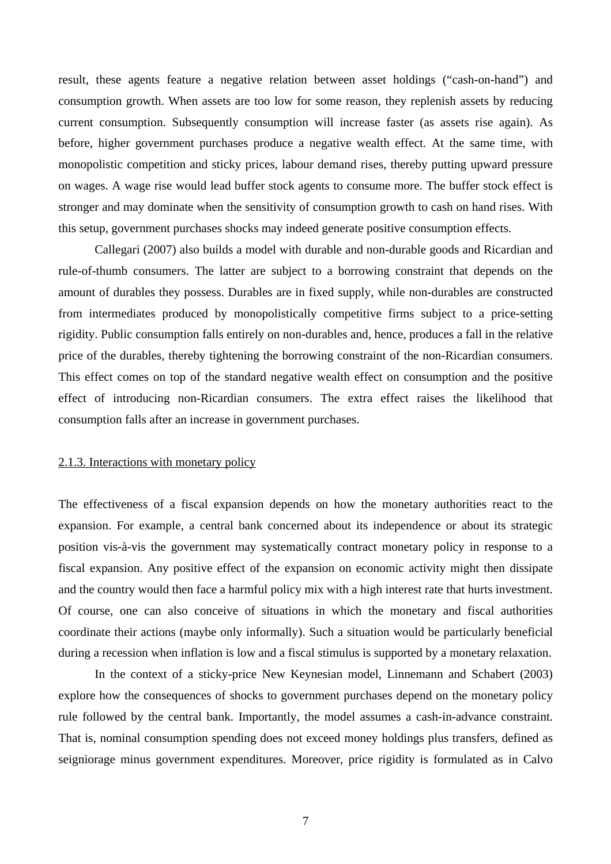result, these agents feature a negative relation between asset holdings ("cash-on-hand") and consumption growth. When assets are too low for some reason, they replenish assets by reducing current consumption. Subsequently consumption will increase faster (as assets rise again). As before, higher government purchases produce a negative wealth effect. At the same time, with monopolistic competition and sticky prices, labour demand rises, thereby putting upward pressure on wages. A wage rise would lead buffer stock agents to consume more. The buffer stock effect is stronger and may dominate when the sensitivity of consumption growth to cash on hand rises. With this setup, government purchases shocks may indeed generate positive consumption effects.

Callegari (2007) also builds a model with durable and non-durable goods and Ricardian and rule-of-thumb consumers. The latter are subject to a borrowing constraint that depends on the amount of durables they possess. Durables are in fixed supply, while non-durables are constructed from intermediates produced by monopolistically competitive firms subject to a price-setting rigidity. Public consumption falls entirely on non-durables and, hence, produces a fall in the relative price of the durables, thereby tightening the borrowing constraint of the non-Ricardian consumers. This effect comes on top of the standard negative wealth effect on consumption and the positive effect of introducing non-Ricardian consumers. The extra effect raises the likelihood that consumption falls after an increase in government purchases.

### 2.1.3. Interactions with monetary policy

The effectiveness of a fiscal expansion depends on how the monetary authorities react to the expansion. For example, a central bank concerned about its independence or about its strategic position vis-à-vis the government may systematically contract monetary policy in response to a fiscal expansion. Any positive effect of the expansion on economic activity might then dissipate and the country would then face a harmful policy mix with a high interest rate that hurts investment. Of course, one can also conceive of situations in which the monetary and fiscal authorities coordinate their actions (maybe only informally). Such a situation would be particularly beneficial during a recession when inflation is low and a fiscal stimulus is supported by a monetary relaxation.

In the context of a sticky-price New Keynesian model, Linnemann and Schabert (2003) explore how the consequences of shocks to government purchases depend on the monetary policy rule followed by the central bank. Importantly, the model assumes a cash-in-advance constraint. That is, nominal consumption spending does not exceed money holdings plus transfers, defined as seigniorage minus government expenditures. Moreover, price rigidity is formulated as in Calvo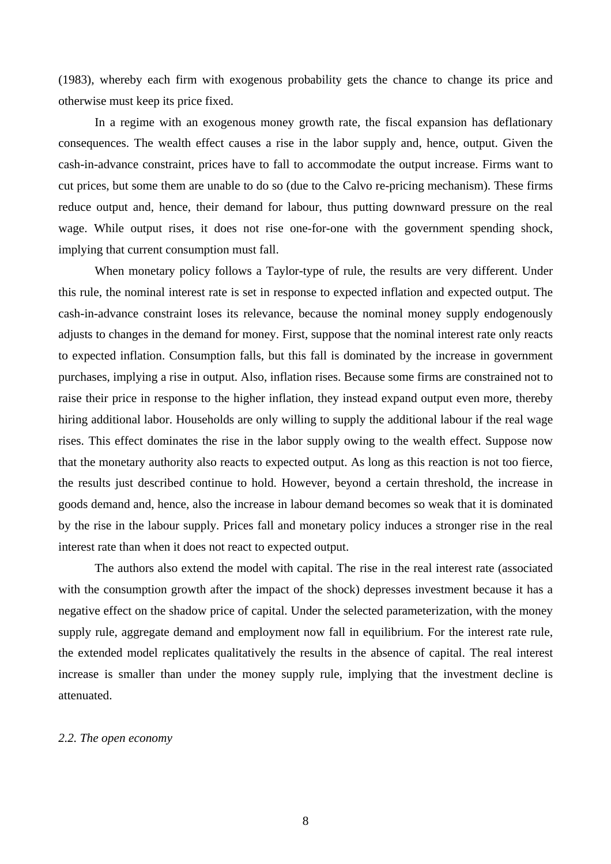(1983), whereby each firm with exogenous probability gets the chance to change its price and otherwise must keep its price fixed.

In a regime with an exogenous money growth rate, the fiscal expansion has deflationary consequences. The wealth effect causes a rise in the labor supply and, hence, output. Given the cash-in-advance constraint, prices have to fall to accommodate the output increase. Firms want to cut prices, but some them are unable to do so (due to the Calvo re-pricing mechanism). These firms reduce output and, hence, their demand for labour, thus putting downward pressure on the real wage. While output rises, it does not rise one-for-one with the government spending shock, implying that current consumption must fall.

When monetary policy follows a Taylor-type of rule, the results are very different. Under this rule, the nominal interest rate is set in response to expected inflation and expected output. The cash-in-advance constraint loses its relevance, because the nominal money supply endogenously adjusts to changes in the demand for money. First, suppose that the nominal interest rate only reacts to expected inflation. Consumption falls, but this fall is dominated by the increase in government purchases, implying a rise in output. Also, inflation rises. Because some firms are constrained not to raise their price in response to the higher inflation, they instead expand output even more, thereby hiring additional labor. Households are only willing to supply the additional labour if the real wage rises. This effect dominates the rise in the labor supply owing to the wealth effect. Suppose now that the monetary authority also reacts to expected output. As long as this reaction is not too fierce, the results just described continue to hold. However, beyond a certain threshold, the increase in goods demand and, hence, also the increase in labour demand becomes so weak that it is dominated by the rise in the labour supply. Prices fall and monetary policy induces a stronger rise in the real interest rate than when it does not react to expected output.

The authors also extend the model with capital. The rise in the real interest rate (associated with the consumption growth after the impact of the shock) depresses investment because it has a negative effect on the shadow price of capital. Under the selected parameterization, with the money supply rule, aggregate demand and employment now fall in equilibrium. For the interest rate rule, the extended model replicates qualitatively the results in the absence of capital. The real interest increase is smaller than under the money supply rule, implying that the investment decline is attenuated.

### *2.2. The open economy*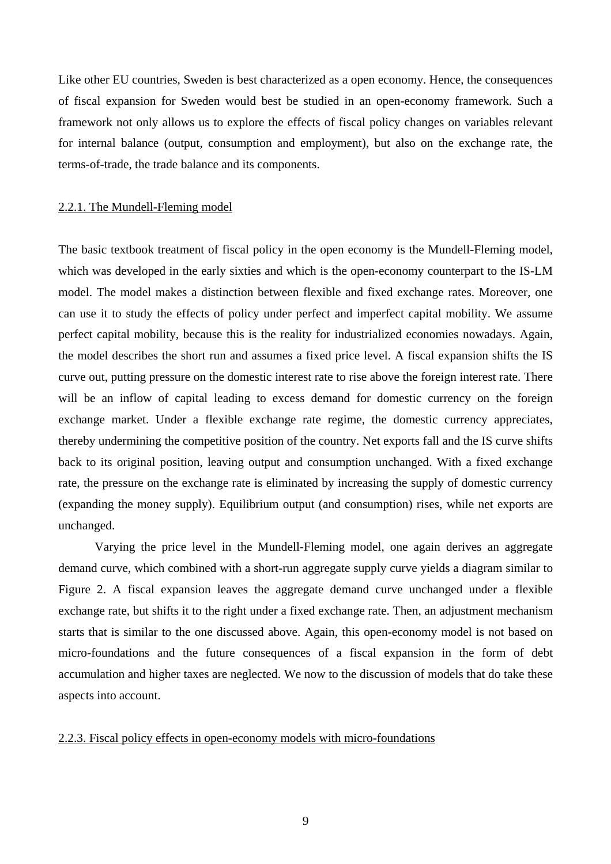Like other EU countries, Sweden is best characterized as a open economy. Hence, the consequences of fiscal expansion for Sweden would best be studied in an open-economy framework. Such a framework not only allows us to explore the effects of fiscal policy changes on variables relevant for internal balance (output, consumption and employment), but also on the exchange rate, the terms-of-trade, the trade balance and its components.

#### 2.2.1. The Mundell-Fleming model

The basic textbook treatment of fiscal policy in the open economy is the Mundell-Fleming model, which was developed in the early sixties and which is the open-economy counterpart to the IS-LM model. The model makes a distinction between flexible and fixed exchange rates. Moreover, one can use it to study the effects of policy under perfect and imperfect capital mobility. We assume perfect capital mobility, because this is the reality for industrialized economies nowadays. Again, the model describes the short run and assumes a fixed price level. A fiscal expansion shifts the IS curve out, putting pressure on the domestic interest rate to rise above the foreign interest rate. There will be an inflow of capital leading to excess demand for domestic currency on the foreign exchange market. Under a flexible exchange rate regime, the domestic currency appreciates, thereby undermining the competitive position of the country. Net exports fall and the IS curve shifts back to its original position, leaving output and consumption unchanged. With a fixed exchange rate, the pressure on the exchange rate is eliminated by increasing the supply of domestic currency (expanding the money supply). Equilibrium output (and consumption) rises, while net exports are unchanged.

Varying the price level in the Mundell-Fleming model, one again derives an aggregate demand curve, which combined with a short-run aggregate supply curve yields a diagram similar to Figure 2. A fiscal expansion leaves the aggregate demand curve unchanged under a flexible exchange rate, but shifts it to the right under a fixed exchange rate. Then, an adjustment mechanism starts that is similar to the one discussed above. Again, this open-economy model is not based on micro-foundations and the future consequences of a fiscal expansion in the form of debt accumulation and higher taxes are neglected. We now to the discussion of models that do take these aspects into account.

### 2.2.3. Fiscal policy effects in open-economy models with micro-foundations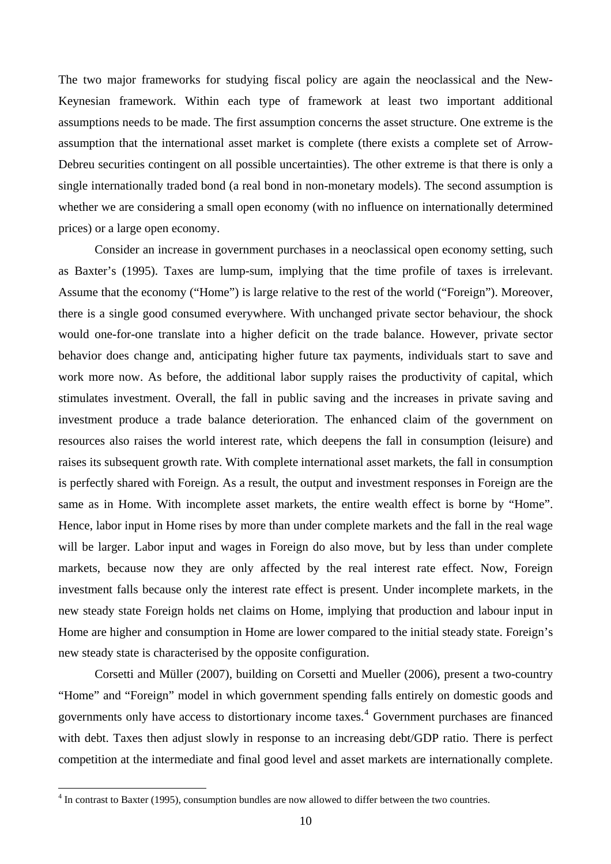The two major frameworks for studying fiscal policy are again the neoclassical and the New-Keynesian framework. Within each type of framework at least two important additional assumptions needs to be made. The first assumption concerns the asset structure. One extreme is the assumption that the international asset market is complete (there exists a complete set of Arrow-Debreu securities contingent on all possible uncertainties). The other extreme is that there is only a single internationally traded bond (a real bond in non-monetary models). The second assumption is whether we are considering a small open economy (with no influence on internationally determined prices) or a large open economy.

Consider an increase in government purchases in a neoclassical open economy setting, such as Baxter's (1995). Taxes are lump-sum, implying that the time profile of taxes is irrelevant. Assume that the economy ("Home") is large relative to the rest of the world ("Foreign"). Moreover, there is a single good consumed everywhere. With unchanged private sector behaviour, the shock would one-for-one translate into a higher deficit on the trade balance. However, private sector behavior does change and, anticipating higher future tax payments, individuals start to save and work more now. As before, the additional labor supply raises the productivity of capital, which stimulates investment. Overall, the fall in public saving and the increases in private saving and investment produce a trade balance deterioration. The enhanced claim of the government on resources also raises the world interest rate, which deepens the fall in consumption (leisure) and raises its subsequent growth rate. With complete international asset markets, the fall in consumption is perfectly shared with Foreign. As a result, the output and investment responses in Foreign are the same as in Home. With incomplete asset markets, the entire wealth effect is borne by "Home". Hence, labor input in Home rises by more than under complete markets and the fall in the real wage will be larger. Labor input and wages in Foreign do also move, but by less than under complete markets, because now they are only affected by the real interest rate effect. Now, Foreign investment falls because only the interest rate effect is present. Under incomplete markets, in the new steady state Foreign holds net claims on Home, implying that production and labour input in Home are higher and consumption in Home are lower compared to the initial steady state. Foreign's new steady state is characterised by the opposite configuration.

Corsetti and Müller (2007), building on Corsetti and Mueller (2006), present a two-country "Home" and "Foreign" model in which government spending falls entirely on domestic goods and governments only have access to distortionary income taxes.<sup>[4](#page-9-0)</sup> Government purchases are financed with debt. Taxes then adjust slowly in response to an increasing debt/GDP ratio. There is perfect competition at the intermediate and final good level and asset markets are internationally complete.

<span id="page-9-0"></span> $<sup>4</sup>$  In contrast to Baxter (1995), consumption bundles are now allowed to differ between the two countries.</sup>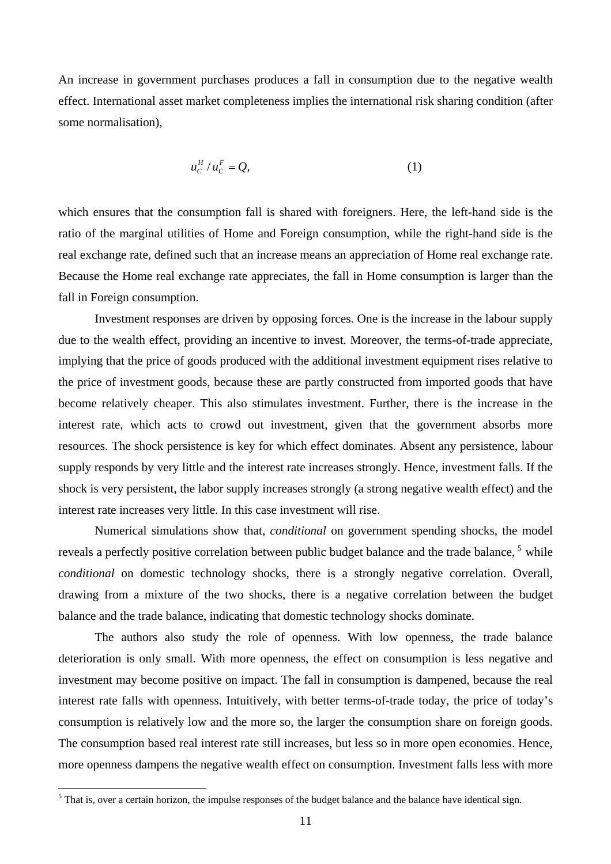An increase in government purchases produces a fall in consumption due to the negative wealth effect. International asset market completeness implies the international risk sharing condition (after some normalisation),

$$
u_c^H/u_c^F = Q,\t\t(1)
$$

which ensures that the consumption fall is shared with foreigners. Here, the left-hand side is the ratio of the marginal utilities of Home and Foreign consumption, while the right-hand side is the real exchange rate, defined such that an increase means an appreciation of Home real exchange rate. Because the Home real exchange rate appreciates, the fall in Home consumption is larger than the fall in Foreign consumption.

Investment responses are driven by opposing forces. One is the increase in the labour supply due to the wealth effect, providing an incentive to invest. Moreover, the terms-of-trade appreciate, implying that the price of goods produced with the additional investment equipment rises relative to the price of investment goods, because these are partly constructed from imported goods that have become relatively cheaper. This also stimulates investment. Further, there is the increase in the interest rate, which acts to crowd out investment, given that the government absorbs more resources. The shock persistence is key for which effect dominates. Absent any persistence, labour supply responds by very little and the interest rate increases strongly. Hence, investment falls. If the shock is very persistent, the labor supply increases strongly (a strong negative wealth effect) and the interest rate increases very little. In this case investment will rise.

Numerical simulations show that, *conditional* on government spending shocks, the model reveals a perfectly positive correlation between public budget balance and the trade balance, <sup>[5](#page-10-0)</sup> while *conditional* on domestic technology shocks, there is a strongly negative correlation. Overall, drawing from a mixture of the two shocks, there is a negative correlation between the budget balance and the trade balance, indicating that domestic technology shocks dominate.

The authors also study the role of openness. With low openness, the trade balance deterioration is only small. With more openness, the effect on consumption is less negative and investment may become positive on impact. The fall in consumption is dampened, because the real interest rate falls with openness. Intuitively, with better terms-of-trade today, the price of today's consumption is relatively low and the more so, the larger the consumption share on foreign goods. The consumption based real interest rate still increases, but less so in more open economies. Hence, more openness dampens the negative wealth effect on consumption. Investment falls less with more

<span id="page-10-0"></span> $<sup>5</sup>$  That is, over a certain horizon, the impulse responses of the budget balance and the balance have identical sign.</sup>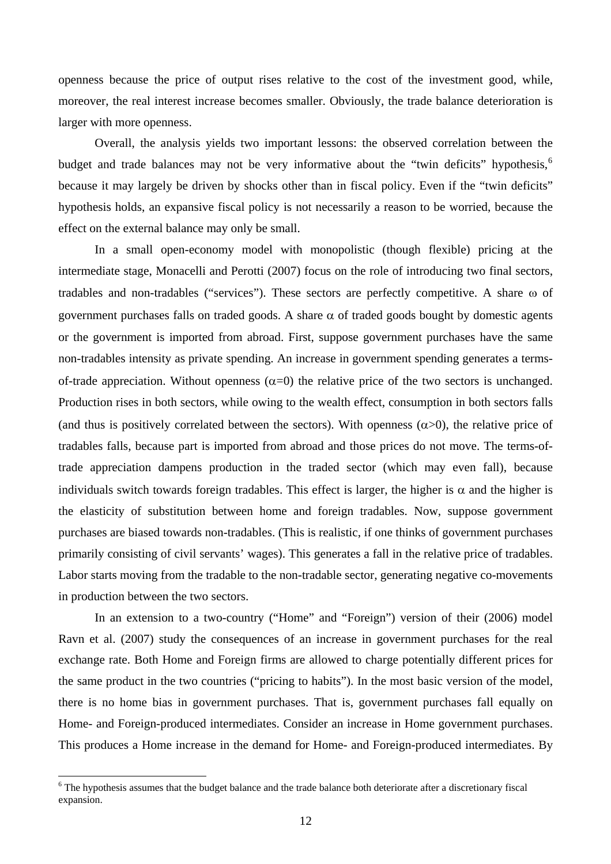openness because the price of output rises relative to the cost of the investment good, while, moreover, the real interest increase becomes smaller. Obviously, the trade balance deterioration is larger with more openness.

Overall, the analysis yields two important lessons: the observed correlation between the budget and trade balances may not be very informative about the "twin deficits" hypothesis,  $\delta$ because it may largely be driven by shocks other than in fiscal policy. Even if the "twin deficits" hypothesis holds, an expansive fiscal policy is not necessarily a reason to be worried, because the effect on the external balance may only be small.

In a small open-economy model with monopolistic (though flexible) pricing at the intermediate stage, Monacelli and Perotti (2007) focus on the role of introducing two final sectors, tradables and non-tradables ("services"). These sectors are perfectly competitive. A share ω of government purchases falls on traded goods. A share  $\alpha$  of traded goods bought by domestic agents or the government is imported from abroad. First, suppose government purchases have the same non-tradables intensity as private spending. An increase in government spending generates a termsof-trade appreciation. Without openness  $(\alpha=0)$  the relative price of the two sectors is unchanged. Production rises in both sectors, while owing to the wealth effect, consumption in both sectors falls (and thus is positively correlated between the sectors). With openness  $(\alpha > 0)$ , the relative price of tradables falls, because part is imported from abroad and those prices do not move. The terms-oftrade appreciation dampens production in the traded sector (which may even fall), because individuals switch towards foreign tradables. This effect is larger, the higher is  $\alpha$  and the higher is the elasticity of substitution between home and foreign tradables. Now, suppose government purchases are biased towards non-tradables. (This is realistic, if one thinks of government purchases primarily consisting of civil servants' wages). This generates a fall in the relative price of tradables. Labor starts moving from the tradable to the non-tradable sector, generating negative co-movements in production between the two sectors.

In an extension to a two-country ("Home" and "Foreign") version of their (2006) model Ravn et al. (2007) study the consequences of an increase in government purchases for the real exchange rate. Both Home and Foreign firms are allowed to charge potentially different prices for the same product in the two countries ("pricing to habits"). In the most basic version of the model, there is no home bias in government purchases. That is, government purchases fall equally on Home- and Foreign-produced intermediates. Consider an increase in Home government purchases. This produces a Home increase in the demand for Home- and Foreign-produced intermediates. By

<span id="page-11-0"></span> $6$  The hypothesis assumes that the budget balance and the trade balance both deteriorate after a discretionary fiscal expansion.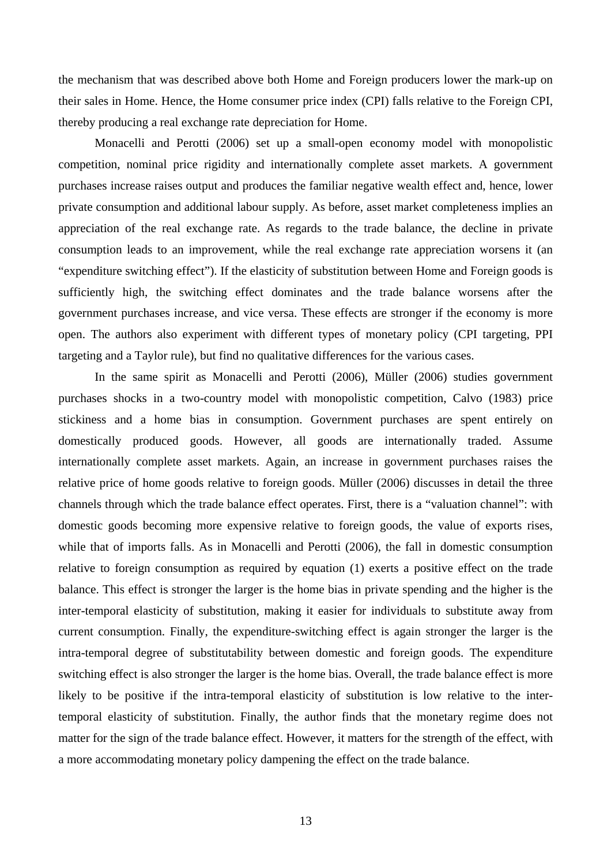the mechanism that was described above both Home and Foreign producers lower the mark-up on their sales in Home. Hence, the Home consumer price index (CPI) falls relative to the Foreign CPI, thereby producing a real exchange rate depreciation for Home.

Monacelli and Perotti (2006) set up a small-open economy model with monopolistic competition, nominal price rigidity and internationally complete asset markets. A government purchases increase raises output and produces the familiar negative wealth effect and, hence, lower private consumption and additional labour supply. As before, asset market completeness implies an appreciation of the real exchange rate. As regards to the trade balance, the decline in private consumption leads to an improvement, while the real exchange rate appreciation worsens it (an "expenditure switching effect"). If the elasticity of substitution between Home and Foreign goods is sufficiently high, the switching effect dominates and the trade balance worsens after the government purchases increase, and vice versa. These effects are stronger if the economy is more open. The authors also experiment with different types of monetary policy (CPI targeting, PPI targeting and a Taylor rule), but find no qualitative differences for the various cases.

In the same spirit as Monacelli and Perotti (2006), Müller (2006) studies government purchases shocks in a two-country model with monopolistic competition, Calvo (1983) price stickiness and a home bias in consumption. Government purchases are spent entirely on domestically produced goods. However, all goods are internationally traded. Assume internationally complete asset markets. Again, an increase in government purchases raises the relative price of home goods relative to foreign goods. Müller (2006) discusses in detail the three channels through which the trade balance effect operates. First, there is a "valuation channel": with domestic goods becoming more expensive relative to foreign goods, the value of exports rises, while that of imports falls. As in Monacelli and Perotti (2006), the fall in domestic consumption relative to foreign consumption as required by equation (1) exerts a positive effect on the trade balance. This effect is stronger the larger is the home bias in private spending and the higher is the inter-temporal elasticity of substitution, making it easier for individuals to substitute away from current consumption. Finally, the expenditure-switching effect is again stronger the larger is the intra-temporal degree of substitutability between domestic and foreign goods. The expenditure switching effect is also stronger the larger is the home bias. Overall, the trade balance effect is more likely to be positive if the intra-temporal elasticity of substitution is low relative to the intertemporal elasticity of substitution. Finally, the author finds that the monetary regime does not matter for the sign of the trade balance effect. However, it matters for the strength of the effect, with a more accommodating monetary policy dampening the effect on the trade balance.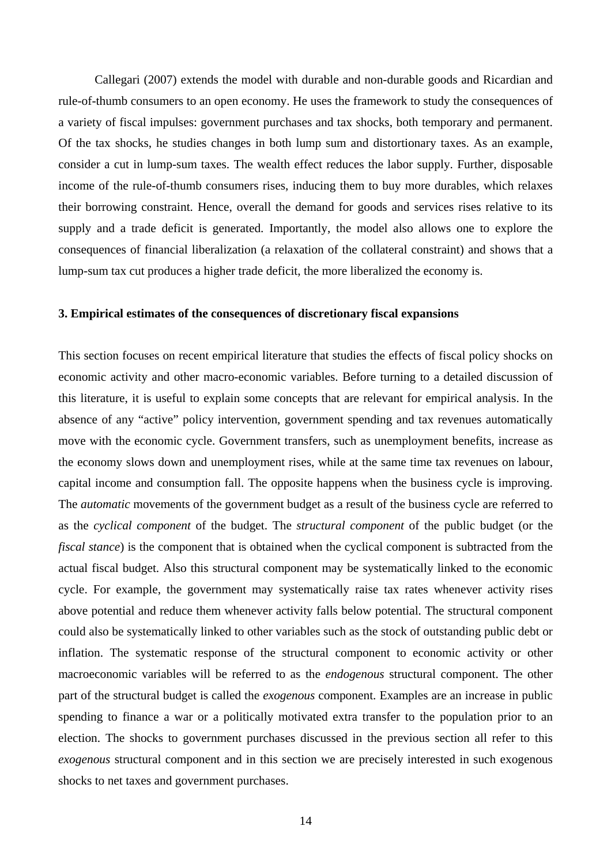Callegari (2007) extends the model with durable and non-durable goods and Ricardian and rule-of-thumb consumers to an open economy. He uses the framework to study the consequences of a variety of fiscal impulses: government purchases and tax shocks, both temporary and permanent. Of the tax shocks, he studies changes in both lump sum and distortionary taxes. As an example, consider a cut in lump-sum taxes. The wealth effect reduces the labor supply. Further, disposable income of the rule-of-thumb consumers rises, inducing them to buy more durables, which relaxes their borrowing constraint. Hence, overall the demand for goods and services rises relative to its supply and a trade deficit is generated. Importantly, the model also allows one to explore the consequences of financial liberalization (a relaxation of the collateral constraint) and shows that a lump-sum tax cut produces a higher trade deficit, the more liberalized the economy is.

#### **3. Empirical estimates of the consequences of discretionary fiscal expansions**

This section focuses on recent empirical literature that studies the effects of fiscal policy shocks on economic activity and other macro-economic variables. Before turning to a detailed discussion of this literature, it is useful to explain some concepts that are relevant for empirical analysis. In the absence of any "active" policy intervention, government spending and tax revenues automatically move with the economic cycle. Government transfers, such as unemployment benefits, increase as the economy slows down and unemployment rises, while at the same time tax revenues on labour, capital income and consumption fall. The opposite happens when the business cycle is improving. The *automatic* movements of the government budget as a result of the business cycle are referred to as the *cyclical component* of the budget. The *structural component* of the public budget (or the *fiscal stance*) is the component that is obtained when the cyclical component is subtracted from the actual fiscal budget. Also this structural component may be systematically linked to the economic cycle. For example, the government may systematically raise tax rates whenever activity rises above potential and reduce them whenever activity falls below potential. The structural component could also be systematically linked to other variables such as the stock of outstanding public debt or inflation. The systematic response of the structural component to economic activity or other macroeconomic variables will be referred to as the *endogenous* structural component. The other part of the structural budget is called the *exogenous* component. Examples are an increase in public spending to finance a war or a politically motivated extra transfer to the population prior to an election. The shocks to government purchases discussed in the previous section all refer to this *exogenous* structural component and in this section we are precisely interested in such exogenous shocks to net taxes and government purchases.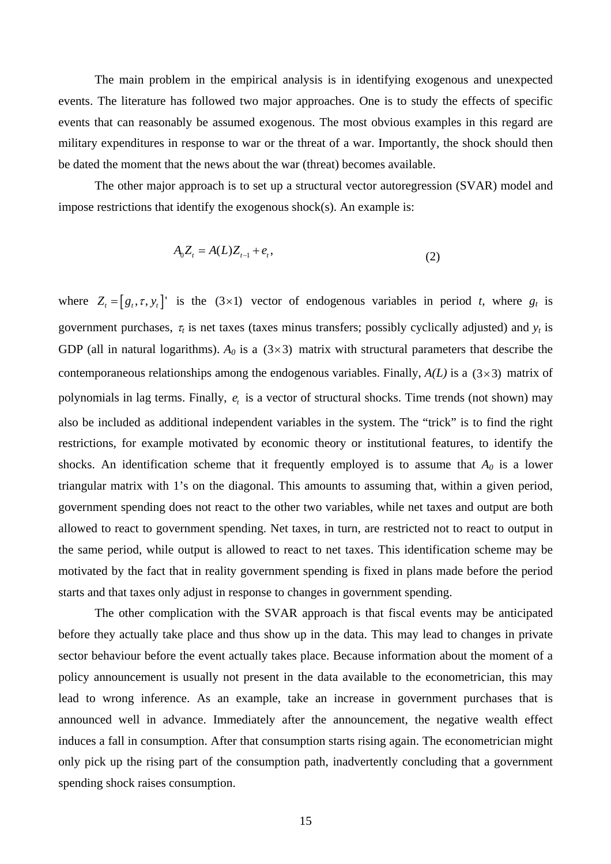The main problem in the empirical analysis is in identifying exogenous and unexpected events. The literature has followed two major approaches. One is to study the effects of specific events that can reasonably be assumed exogenous. The most obvious examples in this regard are military expenditures in response to war or the threat of a war. Importantly, the shock should then be dated the moment that the news about the war (threat) becomes available.

The other major approach is to set up a structural vector autoregression (SVAR) model and impose restrictions that identify the exogenous shock(s). An example is:

$$
A_0 Z_t = A(L) Z_{t-1} + e_t, \tag{2}
$$

where  $Z_t = [g_t, \tau, y_t]$  is the (3×1) vector of endogenous variables in period *t*, where  $g_t$  is government purchases,  $\tau_t$  is net taxes (taxes minus transfers; possibly cyclically adjusted) and  $y_t$  is GDP (all in natural logarithms).  $A_0$  is a  $(3\times3)$  matrix with structural parameters that describe the contemporaneous relationships among the endogenous variables. Finally,  $A(L)$  is a  $(3\times 3)$  matrix of polynomials in lag terms. Finally,  $e_t$  is a vector of structural shocks. Time trends (not shown) may also be included as additional independent variables in the system. The "trick" is to find the right restrictions, for example motivated by economic theory or institutional features, to identify the shocks. An identification scheme that it frequently employed is to assume that  $A_0$  is a lower triangular matrix with 1's on the diagonal. This amounts to assuming that, within a given period, government spending does not react to the other two variables, while net taxes and output are both allowed to react to government spending. Net taxes, in turn, are restricted not to react to output in the same period, while output is allowed to react to net taxes. This identification scheme may be motivated by the fact that in reality government spending is fixed in plans made before the period starts and that taxes only adjust in response to changes in government spending.

The other complication with the SVAR approach is that fiscal events may be anticipated before they actually take place and thus show up in the data. This may lead to changes in private sector behaviour before the event actually takes place. Because information about the moment of a policy announcement is usually not present in the data available to the econometrician, this may lead to wrong inference. As an example, take an increase in government purchases that is announced well in advance. Immediately after the announcement, the negative wealth effect induces a fall in consumption. After that consumption starts rising again. The econometrician might only pick up the rising part of the consumption path, inadvertently concluding that a government spending shock raises consumption.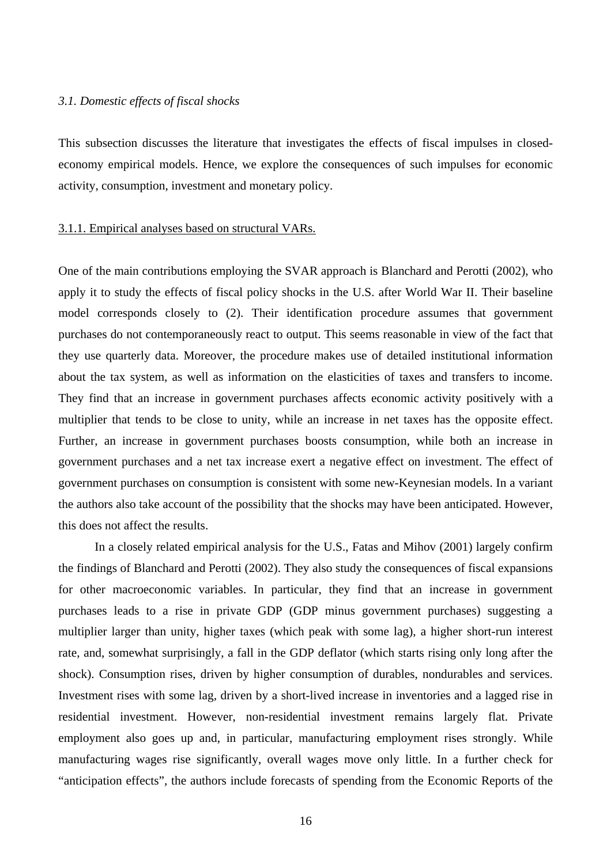### *3.1. Domestic effects of fiscal shocks*

This subsection discusses the literature that investigates the effects of fiscal impulses in closedeconomy empirical models. Hence, we explore the consequences of such impulses for economic activity, consumption, investment and monetary policy.

#### 3.1.1. Empirical analyses based on structural VARs.

One of the main contributions employing the SVAR approach is Blanchard and Perotti (2002), who apply it to study the effects of fiscal policy shocks in the U.S. after World War II. Their baseline model corresponds closely to (2). Their identification procedure assumes that government purchases do not contemporaneously react to output. This seems reasonable in view of the fact that they use quarterly data. Moreover, the procedure makes use of detailed institutional information about the tax system, as well as information on the elasticities of taxes and transfers to income. They find that an increase in government purchases affects economic activity positively with a multiplier that tends to be close to unity, while an increase in net taxes has the opposite effect. Further, an increase in government purchases boosts consumption, while both an increase in government purchases and a net tax increase exert a negative effect on investment. The effect of government purchases on consumption is consistent with some new-Keynesian models. In a variant the authors also take account of the possibility that the shocks may have been anticipated. However, this does not affect the results.

 In a closely related empirical analysis for the U.S., Fatas and Mihov (2001) largely confirm the findings of Blanchard and Perotti (2002). They also study the consequences of fiscal expansions for other macroeconomic variables. In particular, they find that an increase in government purchases leads to a rise in private GDP (GDP minus government purchases) suggesting a multiplier larger than unity, higher taxes (which peak with some lag), a higher short-run interest rate, and, somewhat surprisingly, a fall in the GDP deflator (which starts rising only long after the shock). Consumption rises, driven by higher consumption of durables, nondurables and services. Investment rises with some lag, driven by a short-lived increase in inventories and a lagged rise in residential investment. However, non-residential investment remains largely flat. Private employment also goes up and, in particular, manufacturing employment rises strongly. While manufacturing wages rise significantly, overall wages move only little. In a further check for "anticipation effects", the authors include forecasts of spending from the Economic Reports of the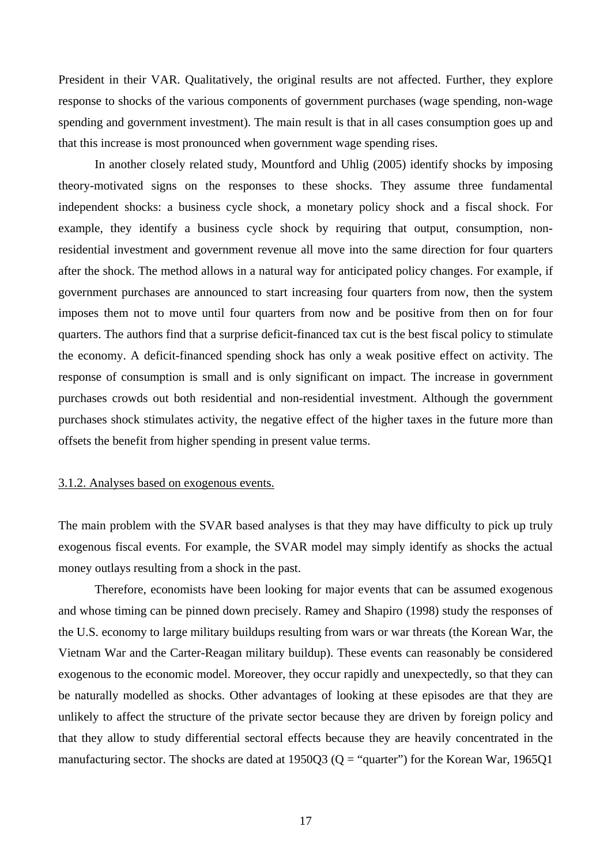President in their VAR. Qualitatively, the original results are not affected. Further, they explore response to shocks of the various components of government purchases (wage spending, non-wage spending and government investment). The main result is that in all cases consumption goes up and that this increase is most pronounced when government wage spending rises.

 In another closely related study, Mountford and Uhlig (2005) identify shocks by imposing theory-motivated signs on the responses to these shocks. They assume three fundamental independent shocks: a business cycle shock, a monetary policy shock and a fiscal shock. For example, they identify a business cycle shock by requiring that output, consumption, nonresidential investment and government revenue all move into the same direction for four quarters after the shock. The method allows in a natural way for anticipated policy changes. For example, if government purchases are announced to start increasing four quarters from now, then the system imposes them not to move until four quarters from now and be positive from then on for four quarters. The authors find that a surprise deficit-financed tax cut is the best fiscal policy to stimulate the economy. A deficit-financed spending shock has only a weak positive effect on activity. The response of consumption is small and is only significant on impact. The increase in government purchases crowds out both residential and non-residential investment. Although the government purchases shock stimulates activity, the negative effect of the higher taxes in the future more than offsets the benefit from higher spending in present value terms.

### 3.1.2. Analyses based on exogenous events.

The main problem with the SVAR based analyses is that they may have difficulty to pick up truly exogenous fiscal events. For example, the SVAR model may simply identify as shocks the actual money outlays resulting from a shock in the past.

Therefore, economists have been looking for major events that can be assumed exogenous and whose timing can be pinned down precisely. Ramey and Shapiro (1998) study the responses of the U.S. economy to large military buildups resulting from wars or war threats (the Korean War, the Vietnam War and the Carter-Reagan military buildup). These events can reasonably be considered exogenous to the economic model. Moreover, they occur rapidly and unexpectedly, so that they can be naturally modelled as shocks. Other advantages of looking at these episodes are that they are unlikely to affect the structure of the private sector because they are driven by foreign policy and that they allow to study differential sectoral effects because they are heavily concentrated in the manufacturing sector. The shocks are dated at  $1950Q3$  (Q = "quarter") for the Korean War, 1965Q1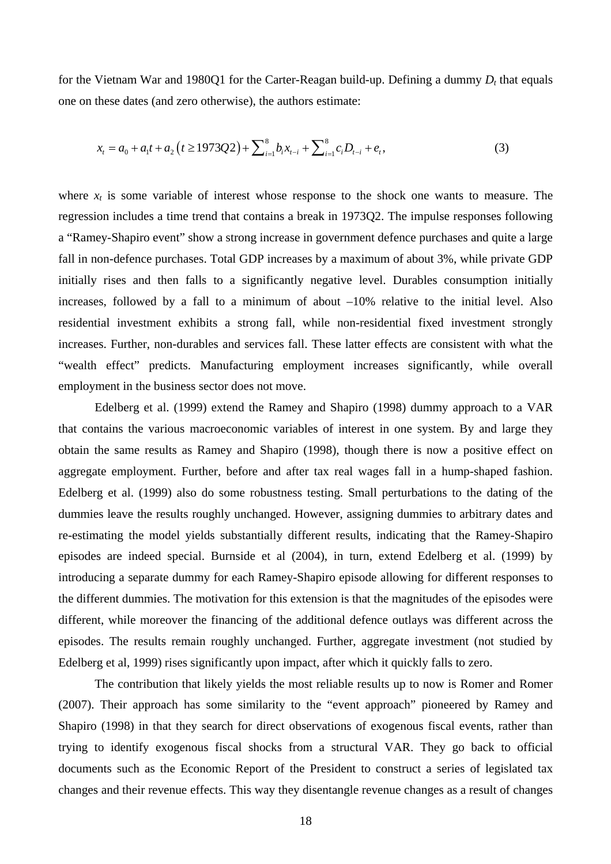for the Vietnam War and 1980Q1 for the Carter-Reagan build-up. Defining a dummy  $D_t$  that equals one on these dates (and zero otherwise), the authors estimate:

$$
x_{t} = a_{0} + a_{1}t + a_{2}(t \ge 1973Q2) + \sum_{i=1}^{8} b_{i}x_{t-i} + \sum_{i=1}^{8} c_{i}D_{t-i} + e_{t},
$$
\n(3)

where  $x_t$  is some variable of interest whose response to the shock one wants to measure. The regression includes a time trend that contains a break in 1973Q2. The impulse responses following a "Ramey-Shapiro event" show a strong increase in government defence purchases and quite a large fall in non-defence purchases. Total GDP increases by a maximum of about 3%, while private GDP initially rises and then falls to a significantly negative level. Durables consumption initially increases, followed by a fall to a minimum of about –10% relative to the initial level. Also residential investment exhibits a strong fall, while non-residential fixed investment strongly increases. Further, non-durables and services fall. These latter effects are consistent with what the "wealth effect" predicts. Manufacturing employment increases significantly, while overall employment in the business sector does not move.

 Edelberg et al. (1999) extend the Ramey and Shapiro (1998) dummy approach to a VAR that contains the various macroeconomic variables of interest in one system. By and large they obtain the same results as Ramey and Shapiro (1998), though there is now a positive effect on aggregate employment. Further, before and after tax real wages fall in a hump-shaped fashion. Edelberg et al. (1999) also do some robustness testing. Small perturbations to the dating of the dummies leave the results roughly unchanged. However, assigning dummies to arbitrary dates and re-estimating the model yields substantially different results, indicating that the Ramey-Shapiro episodes are indeed special. Burnside et al (2004), in turn, extend Edelberg et al. (1999) by introducing a separate dummy for each Ramey-Shapiro episode allowing for different responses to the different dummies. The motivation for this extension is that the magnitudes of the episodes were different, while moreover the financing of the additional defence outlays was different across the episodes. The results remain roughly unchanged. Further, aggregate investment (not studied by Edelberg et al, 1999) rises significantly upon impact, after which it quickly falls to zero.

The contribution that likely yields the most reliable results up to now is Romer and Romer (2007). Their approach has some similarity to the "event approach" pioneered by Ramey and Shapiro (1998) in that they search for direct observations of exogenous fiscal events, rather than trying to identify exogenous fiscal shocks from a structural VAR. They go back to official documents such as the Economic Report of the President to construct a series of legislated tax changes and their revenue effects. This way they disentangle revenue changes as a result of changes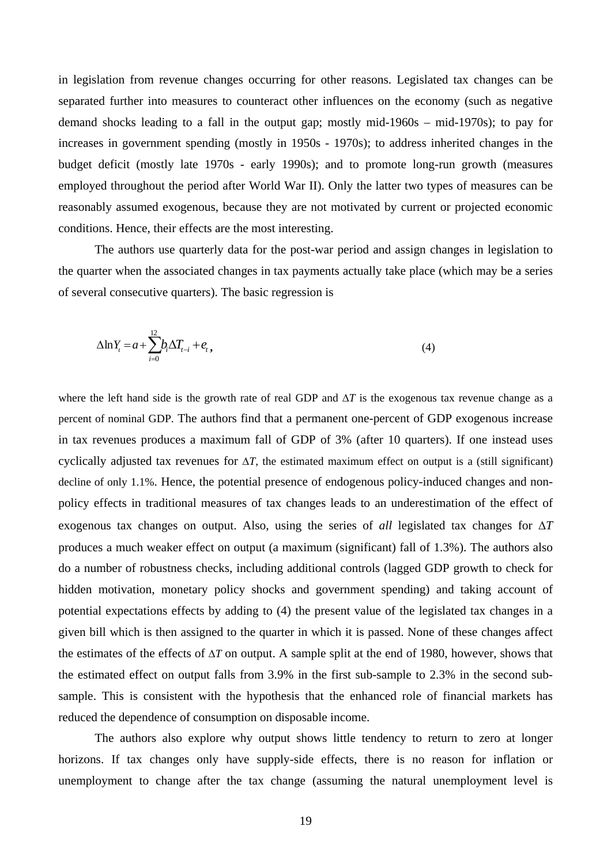in legislation from revenue changes occurring for other reasons. Legislated tax changes can be separated further into measures to counteract other influences on the economy (such as negative demand shocks leading to a fall in the output gap; mostly mid-1960s – mid-1970s); to pay for increases in government spending (mostly in 1950s - 1970s); to address inherited changes in the budget deficit (mostly late 1970s - early 1990s); and to promote long-run growth (measures employed throughout the period after World War II). Only the latter two types of measures can be reasonably assumed exogenous, because they are not motivated by current or projected economic conditions. Hence, their effects are the most interesting.

The authors use quarterly data for the post-war period and assign changes in legislation to the quarter when the associated changes in tax payments actually take place (which may be a series of several consecutive quarters). The basic regression is

$$
\Delta \ln Y_t = a + \sum_{i=0}^{12} b_i \Delta T_{t-i} + e_t, \qquad (4)
$$

where the left hand side is the growth rate of real GDP and Δ*T* is the exogenous tax revenue change as a percent of nominal GDP. The authors find that a permanent one-percent of GDP exogenous increase in tax revenues produces a maximum fall of GDP of 3% (after 10 quarters). If one instead uses cyclically adjusted tax revenues for  $\Delta T$ , the estimated maximum effect on output is a (still significant) decline of only 1.1%. Hence, the potential presence of endogenous policy-induced changes and nonpolicy effects in traditional measures of tax changes leads to an underestimation of the effect of exogenous tax changes on output. Also, using the series of *all* legislated tax changes for Δ*T* produces a much weaker effect on output (a maximum (significant) fall of 1.3%). The authors also do a number of robustness checks, including additional controls (lagged GDP growth to check for hidden motivation, monetary policy shocks and government spending) and taking account of potential expectations effects by adding to (4) the present value of the legislated tax changes in a given bill which is then assigned to the quarter in which it is passed. None of these changes affect the estimates of the effects of Δ*T* on output. A sample split at the end of 1980, however, shows that the estimated effect on output falls from 3.9% in the first sub-sample to 2.3% in the second subsample. This is consistent with the hypothesis that the enhanced role of financial markets has reduced the dependence of consumption on disposable income.

The authors also explore why output shows little tendency to return to zero at longer horizons. If tax changes only have supply-side effects, there is no reason for inflation or unemployment to change after the tax change (assuming the natural unemployment level is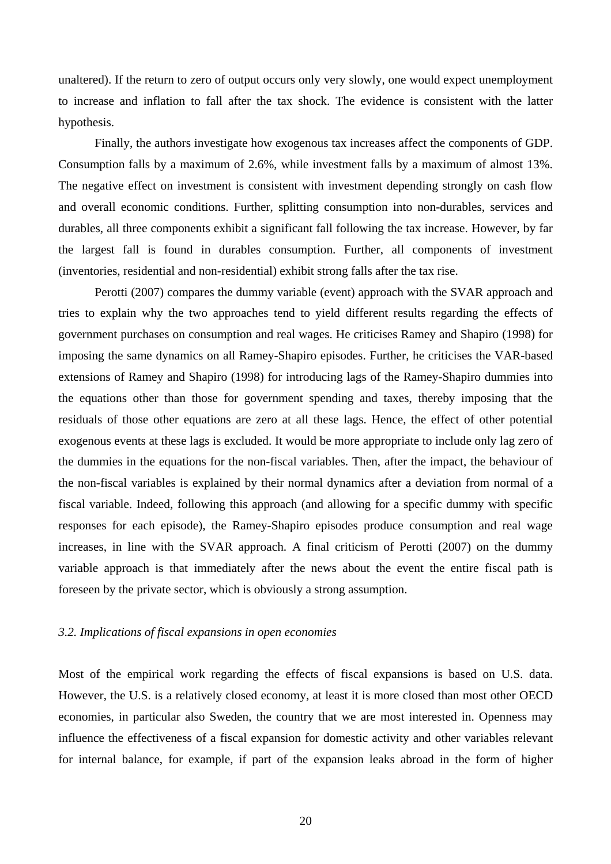unaltered). If the return to zero of output occurs only very slowly, one would expect unemployment to increase and inflation to fall after the tax shock. The evidence is consistent with the latter hypothesis.

Finally, the authors investigate how exogenous tax increases affect the components of GDP. Consumption falls by a maximum of 2.6%, while investment falls by a maximum of almost 13%. The negative effect on investment is consistent with investment depending strongly on cash flow and overall economic conditions. Further, splitting consumption into non-durables, services and durables, all three components exhibit a significant fall following the tax increase. However, by far the largest fall is found in durables consumption. Further, all components of investment (inventories, residential and non-residential) exhibit strong falls after the tax rise.

Perotti (2007) compares the dummy variable (event) approach with the SVAR approach and tries to explain why the two approaches tend to yield different results regarding the effects of government purchases on consumption and real wages. He criticises Ramey and Shapiro (1998) for imposing the same dynamics on all Ramey-Shapiro episodes. Further, he criticises the VAR-based extensions of Ramey and Shapiro (1998) for introducing lags of the Ramey-Shapiro dummies into the equations other than those for government spending and taxes, thereby imposing that the residuals of those other equations are zero at all these lags. Hence, the effect of other potential exogenous events at these lags is excluded. It would be more appropriate to include only lag zero of the dummies in the equations for the non-fiscal variables. Then, after the impact, the behaviour of the non-fiscal variables is explained by their normal dynamics after a deviation from normal of a fiscal variable. Indeed, following this approach (and allowing for a specific dummy with specific responses for each episode), the Ramey-Shapiro episodes produce consumption and real wage increases, in line with the SVAR approach. A final criticism of Perotti (2007) on the dummy variable approach is that immediately after the news about the event the entire fiscal path is foreseen by the private sector, which is obviously a strong assumption.

### *3.2. Implications of fiscal expansions in open economies*

Most of the empirical work regarding the effects of fiscal expansions is based on U.S. data. However, the U.S. is a relatively closed economy, at least it is more closed than most other OECD economies, in particular also Sweden, the country that we are most interested in. Openness may influence the effectiveness of a fiscal expansion for domestic activity and other variables relevant for internal balance, for example, if part of the expansion leaks abroad in the form of higher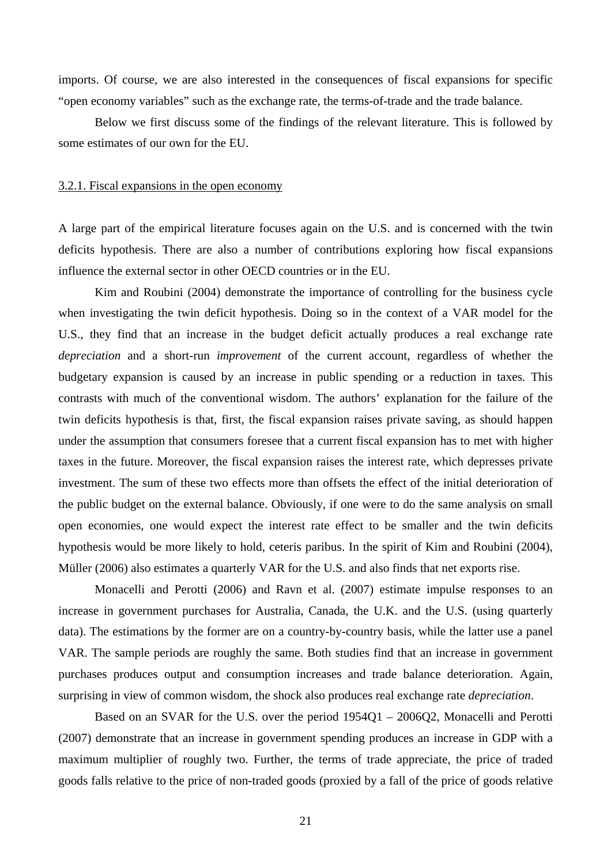imports. Of course, we are also interested in the consequences of fiscal expansions for specific "open economy variables" such as the exchange rate, the terms-of-trade and the trade balance.

Below we first discuss some of the findings of the relevant literature. This is followed by some estimates of our own for the EU.

### 3.2.1. Fiscal expansions in the open economy

A large part of the empirical literature focuses again on the U.S. and is concerned with the twin deficits hypothesis. There are also a number of contributions exploring how fiscal expansions influence the external sector in other OECD countries or in the EU.

Kim and Roubini (2004) demonstrate the importance of controlling for the business cycle when investigating the twin deficit hypothesis. Doing so in the context of a VAR model for the U.S., they find that an increase in the budget deficit actually produces a real exchange rate *depreciation* and a short-run *improvement* of the current account, regardless of whether the budgetary expansion is caused by an increase in public spending or a reduction in taxes. This contrasts with much of the conventional wisdom. The authors' explanation for the failure of the twin deficits hypothesis is that, first, the fiscal expansion raises private saving, as should happen under the assumption that consumers foresee that a current fiscal expansion has to met with higher taxes in the future. Moreover, the fiscal expansion raises the interest rate, which depresses private investment. The sum of these two effects more than offsets the effect of the initial deterioration of the public budget on the external balance. Obviously, if one were to do the same analysis on small open economies, one would expect the interest rate effect to be smaller and the twin deficits hypothesis would be more likely to hold, ceteris paribus. In the spirit of Kim and Roubini (2004), Müller (2006) also estimates a quarterly VAR for the U.S. and also finds that net exports rise.

Monacelli and Perotti (2006) and Ravn et al. (2007) estimate impulse responses to an increase in government purchases for Australia, Canada, the U.K. and the U.S. (using quarterly data). The estimations by the former are on a country-by-country basis, while the latter use a panel VAR. The sample periods are roughly the same. Both studies find that an increase in government purchases produces output and consumption increases and trade balance deterioration. Again, surprising in view of common wisdom, the shock also produces real exchange rate *depreciation*.

Based on an SVAR for the U.S. over the period 1954Q1 – 2006Q2, Monacelli and Perotti (2007) demonstrate that an increase in government spending produces an increase in GDP with a maximum multiplier of roughly two. Further, the terms of trade appreciate, the price of traded goods falls relative to the price of non-traded goods (proxied by a fall of the price of goods relative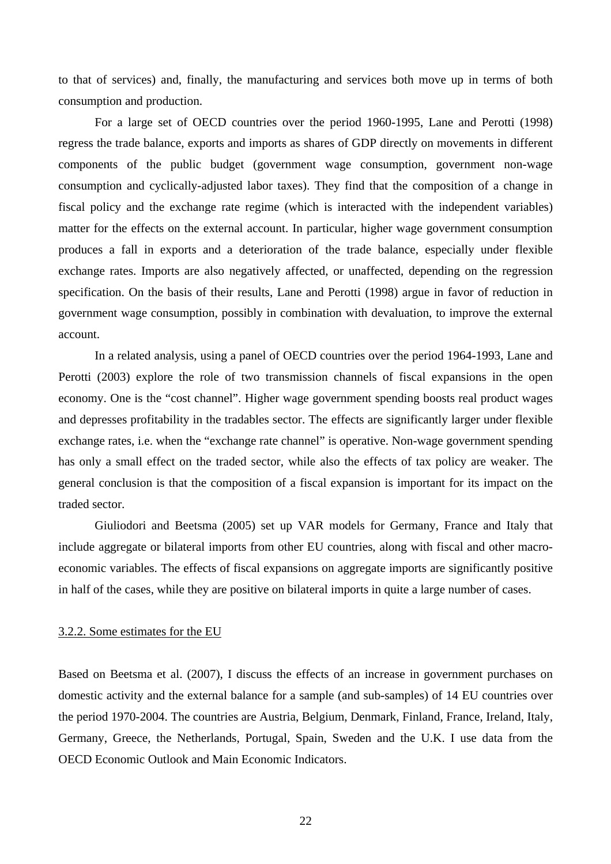to that of services) and, finally, the manufacturing and services both move up in terms of both consumption and production.

For a large set of OECD countries over the period 1960-1995, Lane and Perotti (1998) regress the trade balance, exports and imports as shares of GDP directly on movements in different components of the public budget (government wage consumption, government non-wage consumption and cyclically-adjusted labor taxes). They find that the composition of a change in fiscal policy and the exchange rate regime (which is interacted with the independent variables) matter for the effects on the external account. In particular, higher wage government consumption produces a fall in exports and a deterioration of the trade balance, especially under flexible exchange rates. Imports are also negatively affected, or unaffected, depending on the regression specification. On the basis of their results, Lane and Perotti (1998) argue in favor of reduction in government wage consumption, possibly in combination with devaluation, to improve the external account.

In a related analysis, using a panel of OECD countries over the period 1964-1993, Lane and Perotti (2003) explore the role of two transmission channels of fiscal expansions in the open economy. One is the "cost channel". Higher wage government spending boosts real product wages and depresses profitability in the tradables sector. The effects are significantly larger under flexible exchange rates, i.e. when the "exchange rate channel" is operative. Non-wage government spending has only a small effect on the traded sector, while also the effects of tax policy are weaker. The general conclusion is that the composition of a fiscal expansion is important for its impact on the traded sector.

Giuliodori and Beetsma (2005) set up VAR models for Germany, France and Italy that include aggregate or bilateral imports from other EU countries, along with fiscal and other macroeconomic variables. The effects of fiscal expansions on aggregate imports are significantly positive in half of the cases, while they are positive on bilateral imports in quite a large number of cases.

#### 3.2.2. Some estimates for the EU

Based on Beetsma et al. (2007), I discuss the effects of an increase in government purchases on domestic activity and the external balance for a sample (and sub-samples) of 14 EU countries over the period 1970-2004. The countries are Austria, Belgium, Denmark, Finland, France, Ireland, Italy, Germany, Greece, the Netherlands, Portugal, Spain, Sweden and the U.K. I use data from the OECD Economic Outlook and Main Economic Indicators.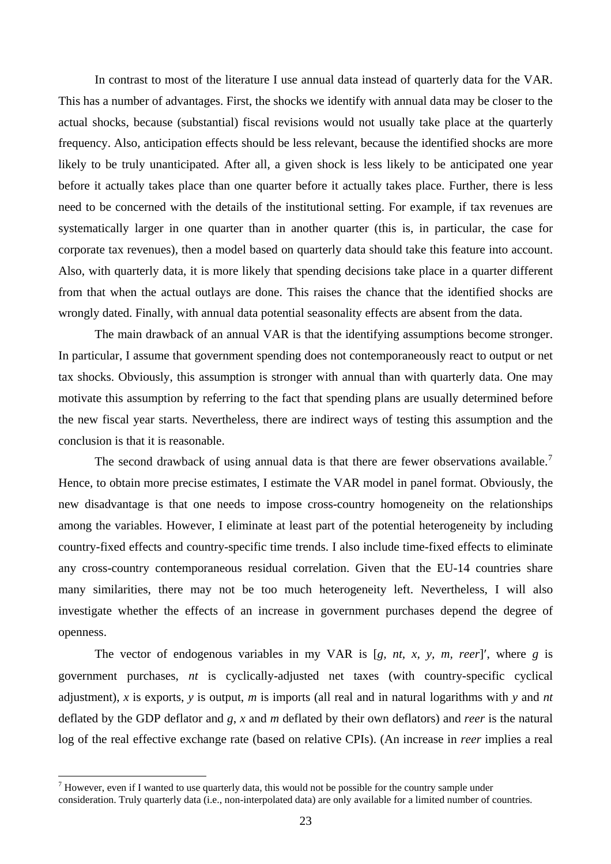In contrast to most of the literature I use annual data instead of quarterly data for the VAR. This has a number of advantages. First, the shocks we identify with annual data may be closer to the actual shocks, because (substantial) fiscal revisions would not usually take place at the quarterly frequency. Also, anticipation effects should be less relevant, because the identified shocks are more likely to be truly unanticipated. After all, a given shock is less likely to be anticipated one year before it actually takes place than one quarter before it actually takes place. Further, there is less need to be concerned with the details of the institutional setting. For example, if tax revenues are systematically larger in one quarter than in another quarter (this is, in particular, the case for corporate tax revenues), then a model based on quarterly data should take this feature into account. Also, with quarterly data, it is more likely that spending decisions take place in a quarter different from that when the actual outlays are done. This raises the chance that the identified shocks are wrongly dated. Finally, with annual data potential seasonality effects are absent from the data.

The main drawback of an annual VAR is that the identifying assumptions become stronger. In particular, I assume that government spending does not contemporaneously react to output or net tax shocks. Obviously, this assumption is stronger with annual than with quarterly data. One may motivate this assumption by referring to the fact that spending plans are usually determined before the new fiscal year starts. Nevertheless, there are indirect ways of testing this assumption and the conclusion is that it is reasonable.

The second drawback of using annual data is that there are fewer observations available.<sup>[7](#page-22-0)</sup> Hence, to obtain more precise estimates, I estimate the VAR model in panel format. Obviously, the new disadvantage is that one needs to impose cross-country homogeneity on the relationships among the variables. However, I eliminate at least part of the potential heterogeneity by including country-fixed effects and country-specific time trends. I also include time-fixed effects to eliminate any cross-country contemporaneous residual correlation. Given that the EU-14 countries share many similarities, there may not be too much heterogeneity left. Nevertheless, I will also investigate whether the effects of an increase in government purchases depend the degree of openness.

The vector of endogenous variables in my VAR is [*g, nt, x, y, m, reer*]′, where *g* is government purchases, *nt* is cyclically-adjusted net taxes (with country-specific cyclical adjustment), *x* is exports, *y* is output, *m* is imports (all real and in natural logarithms with *y* and *nt* deflated by the GDP deflator and *g*, *x* and *m* deflated by their own deflators) and *reer* is the natural log of the real effective exchange rate (based on relative CPIs). (An increase in *reer* implies a real

<span id="page-22-0"></span> $<sup>7</sup>$  However, even if I wanted to use quarterly data, this would not be possible for the country sample under</sup> consideration. Truly quarterly data (i.e., non-interpolated data) are only available for a limited number of countries.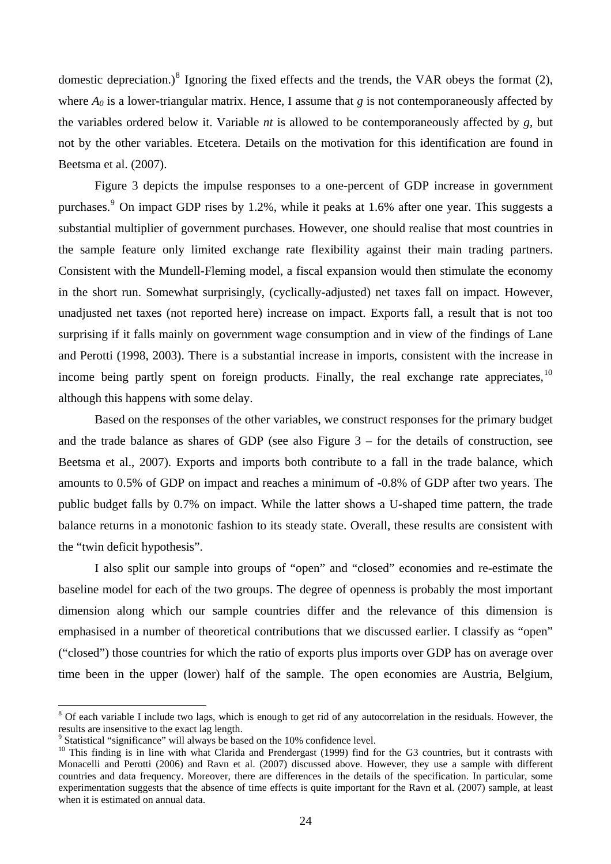domestic depreciation.)<sup>[8](#page-23-0)</sup> Ignoring the fixed effects and the trends, the VAR obeys the format  $(2)$ , where  $A_0$  is a lower-triangular matrix. Hence, I assume that *g* is not contemporaneously affected by the variables ordered below it. Variable *nt* is allowed to be contemporaneously affected by *g*, but not by the other variables. Etcetera. Details on the motivation for this identification are found in Beetsma et al. (2007).

Figure 3 depicts the impulse responses to a one-percent of GDP increase in government purchases.<sup>[9](#page-23-1)</sup> On impact GDP rises by 1.2%, while it peaks at 1.6% after one year. This suggests a substantial multiplier of government purchases. However, one should realise that most countries in the sample feature only limited exchange rate flexibility against their main trading partners. Consistent with the Mundell-Fleming model, a fiscal expansion would then stimulate the economy in the short run. Somewhat surprisingly, (cyclically-adjusted) net taxes fall on impact. However, unadjusted net taxes (not reported here) increase on impact. Exports fall, a result that is not too surprising if it falls mainly on government wage consumption and in view of the findings of Lane and Perotti (1998, 2003). There is a substantial increase in imports, consistent with the increase in income being partly spent on foreign products. Finally, the real exchange rate appreciates,  $10$ although this happens with some delay.

Based on the responses of the other variables, we construct responses for the primary budget and the trade balance as shares of GDP (see also Figure 3 – for the details of construction, see Beetsma et al., 2007). Exports and imports both contribute to a fall in the trade balance, which amounts to 0.5% of GDP on impact and reaches a minimum of -0.8% of GDP after two years. The public budget falls by 0.7% on impact. While the latter shows a U-shaped time pattern, the trade balance returns in a monotonic fashion to its steady state. Overall, these results are consistent with the "twin deficit hypothesis".

I also split our sample into groups of "open" and "closed" economies and re-estimate the baseline model for each of the two groups. The degree of openness is probably the most important dimension along which our sample countries differ and the relevance of this dimension is emphasised in a number of theoretical contributions that we discussed earlier. I classify as "open" ("closed") those countries for which the ratio of exports plus imports over GDP has on average over time been in the upper (lower) half of the sample. The open economies are Austria, Belgium,

<span id="page-23-0"></span><sup>&</sup>lt;sup>8</sup> Of each variable I include two lags, which is enough to get rid of any autocorrelation in the residuals. However, the results are insensitive to the exact lag length.

<span id="page-23-1"></span><sup>&</sup>lt;sup>9</sup> Statistical "significance" will always be based on the 10% confidence level.

<span id="page-23-2"></span><sup>&</sup>lt;sup>10</sup> This finding is in line with what Clarida and Prendergast (1999) find for the G3 countries, but it contrasts with Monacelli and Perotti (2006) and Ravn et al. (2007) discussed above. However, they use a sample with different countries and data frequency. Moreover, there are differences in the details of the specification. In particular, some experimentation suggests that the absence of time effects is quite important for the Ravn et al. (2007) sample, at least when it is estimated on annual data.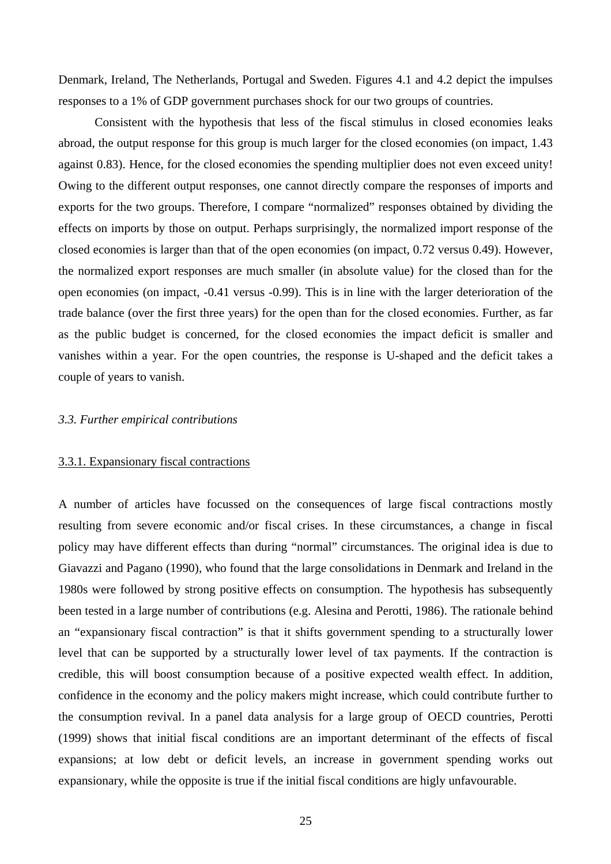Denmark, Ireland, The Netherlands, Portugal and Sweden. Figures 4.1 and 4.2 depict the impulses responses to a 1% of GDP government purchases shock for our two groups of countries.

Consistent with the hypothesis that less of the fiscal stimulus in closed economies leaks abroad, the output response for this group is much larger for the closed economies (on impact, 1.43 against 0.83). Hence, for the closed economies the spending multiplier does not even exceed unity! Owing to the different output responses, one cannot directly compare the responses of imports and exports for the two groups. Therefore, I compare "normalized" responses obtained by dividing the effects on imports by those on output. Perhaps surprisingly, the normalized import response of the closed economies is larger than that of the open economies (on impact, 0.72 versus 0.49). However, the normalized export responses are much smaller (in absolute value) for the closed than for the open economies (on impact, -0.41 versus -0.99). This is in line with the larger deterioration of the trade balance (over the first three years) for the open than for the closed economies. Further, as far as the public budget is concerned, for the closed economies the impact deficit is smaller and vanishes within a year. For the open countries, the response is U-shaped and the deficit takes a couple of years to vanish.

### *3.3. Further empirical contributions*

#### 3.3.1. Expansionary fiscal contractions

A number of articles have focussed on the consequences of large fiscal contractions mostly resulting from severe economic and/or fiscal crises. In these circumstances, a change in fiscal policy may have different effects than during "normal" circumstances. The original idea is due to Giavazzi and Pagano (1990), who found that the large consolidations in Denmark and Ireland in the 1980s were followed by strong positive effects on consumption. The hypothesis has subsequently been tested in a large number of contributions (e.g. Alesina and Perotti, 1986). The rationale behind an "expansionary fiscal contraction" is that it shifts government spending to a structurally lower level that can be supported by a structurally lower level of tax payments. If the contraction is credible, this will boost consumption because of a positive expected wealth effect. In addition, confidence in the economy and the policy makers might increase, which could contribute further to the consumption revival. In a panel data analysis for a large group of OECD countries, Perotti (1999) shows that initial fiscal conditions are an important determinant of the effects of fiscal expansions; at low debt or deficit levels, an increase in government spending works out expansionary, while the opposite is true if the initial fiscal conditions are higly unfavourable.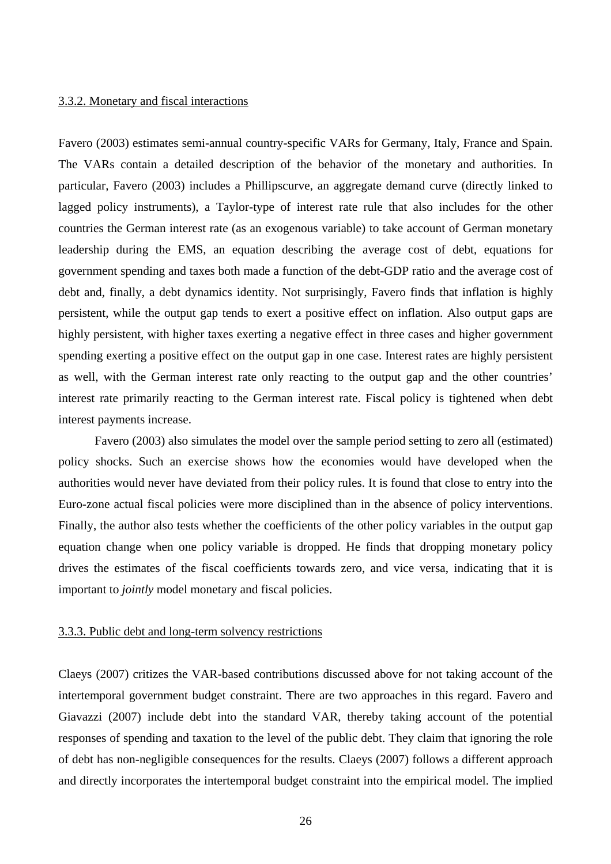### 3.3.2. Monetary and fiscal interactions

Favero (2003) estimates semi-annual country-specific VARs for Germany, Italy, France and Spain. The VARs contain a detailed description of the behavior of the monetary and authorities. In particular, Favero (2003) includes a Phillipscurve, an aggregate demand curve (directly linked to lagged policy instruments), a Taylor-type of interest rate rule that also includes for the other countries the German interest rate (as an exogenous variable) to take account of German monetary leadership during the EMS, an equation describing the average cost of debt, equations for government spending and taxes both made a function of the debt-GDP ratio and the average cost of debt and, finally, a debt dynamics identity. Not surprisingly, Favero finds that inflation is highly persistent, while the output gap tends to exert a positive effect on inflation. Also output gaps are highly persistent, with higher taxes exerting a negative effect in three cases and higher government spending exerting a positive effect on the output gap in one case. Interest rates are highly persistent as well, with the German interest rate only reacting to the output gap and the other countries' interest rate primarily reacting to the German interest rate. Fiscal policy is tightened when debt interest payments increase.

Favero (2003) also simulates the model over the sample period setting to zero all (estimated) policy shocks. Such an exercise shows how the economies would have developed when the authorities would never have deviated from their policy rules. It is found that close to entry into the Euro-zone actual fiscal policies were more disciplined than in the absence of policy interventions. Finally, the author also tests whether the coefficients of the other policy variables in the output gap equation change when one policy variable is dropped. He finds that dropping monetary policy drives the estimates of the fiscal coefficients towards zero, and vice versa, indicating that it is important to *jointly* model monetary and fiscal policies.

#### 3.3.3. Public debt and long-term solvency restrictions

Claeys (2007) critizes the VAR-based contributions discussed above for not taking account of the intertemporal government budget constraint. There are two approaches in this regard. Favero and Giavazzi (2007) include debt into the standard VAR, thereby taking account of the potential responses of spending and taxation to the level of the public debt. They claim that ignoring the role of debt has non-negligible consequences for the results. Claeys (2007) follows a different approach and directly incorporates the intertemporal budget constraint into the empirical model. The implied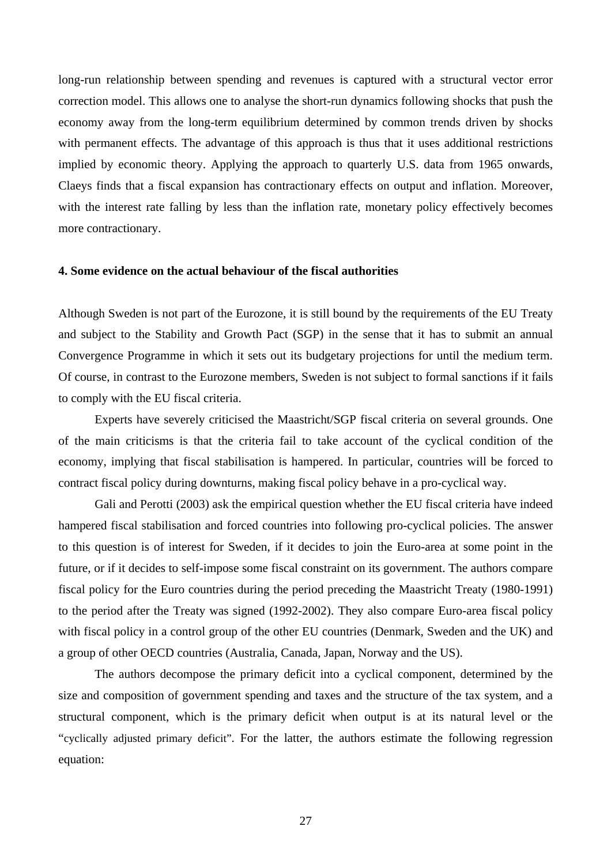long-run relationship between spending and revenues is captured with a structural vector error correction model. This allows one to analyse the short-run dynamics following shocks that push the economy away from the long-term equilibrium determined by common trends driven by shocks with permanent effects. The advantage of this approach is thus that it uses additional restrictions implied by economic theory. Applying the approach to quarterly U.S. data from 1965 onwards, Claeys finds that a fiscal expansion has contractionary effects on output and inflation. Moreover, with the interest rate falling by less than the inflation rate, monetary policy effectively becomes more contractionary.

#### **4. Some evidence on the actual behaviour of the fiscal authorities**

Although Sweden is not part of the Eurozone, it is still bound by the requirements of the EU Treaty and subject to the Stability and Growth Pact (SGP) in the sense that it has to submit an annual Convergence Programme in which it sets out its budgetary projections for until the medium term. Of course, in contrast to the Eurozone members, Sweden is not subject to formal sanctions if it fails to comply with the EU fiscal criteria.

Experts have severely criticised the Maastricht/SGP fiscal criteria on several grounds. One of the main criticisms is that the criteria fail to take account of the cyclical condition of the economy, implying that fiscal stabilisation is hampered. In particular, countries will be forced to contract fiscal policy during downturns, making fiscal policy behave in a pro-cyclical way.

Gali and Perotti (2003) ask the empirical question whether the EU fiscal criteria have indeed hampered fiscal stabilisation and forced countries into following pro-cyclical policies. The answer to this question is of interest for Sweden, if it decides to join the Euro-area at some point in the future, or if it decides to self-impose some fiscal constraint on its government. The authors compare fiscal policy for the Euro countries during the period preceding the Maastricht Treaty (1980-1991) to the period after the Treaty was signed (1992-2002). They also compare Euro-area fiscal policy with fiscal policy in a control group of the other EU countries (Denmark, Sweden and the UK) and a group of other OECD countries (Australia, Canada, Japan, Norway and the US).

The authors decompose the primary deficit into a cyclical component, determined by the size and composition of government spending and taxes and the structure of the tax system, and a structural component, which is the primary deficit when output is at its natural level or the "cyclically adjusted primary deficit". For the latter, the authors estimate the following regression equation: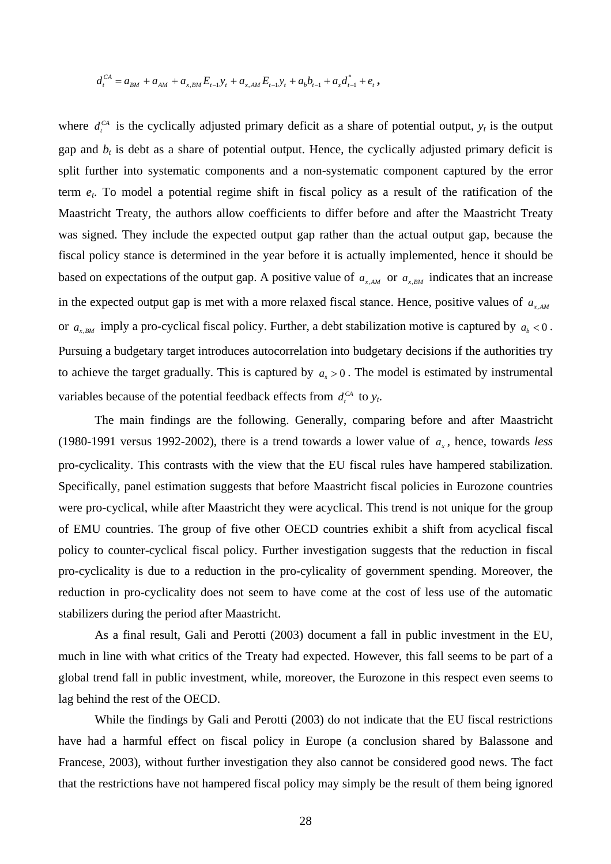$$
d_t^{CA} = a_{BM} + a_{AM} + a_{x,BM} E_{t-1} y_t + a_{x,AM} E_{t-1} y_t + a_b b_{t-1} + a_s d_{t-1}^* + e_t,
$$

where  $d_t^{CA}$  is the cyclically adjusted primary deficit as a share of potential output,  $y_t$  is the output gap and  $b_t$  is debt as a share of potential output. Hence, the cyclically adjusted primary deficit is split further into systematic components and a non-systematic component captured by the error term *et*. To model a potential regime shift in fiscal policy as a result of the ratification of the Maastricht Treaty, the authors allow coefficients to differ before and after the Maastricht Treaty was signed. They include the expected output gap rather than the actual output gap, because the fiscal policy stance is determined in the year before it is actually implemented, hence it should be based on expectations of the output gap. A positive value of  $a_{x,AM}$  or  $a_{x,BM}$  indicates that an increase in the expected output gap is met with a more relaxed fiscal stance. Hence, positive values of  $a_{xAM}$ or  $a_{x,BM}$  imply a pro-cyclical fiscal policy. Further, a debt stabilization motive is captured by  $a_b < 0$ . Pursuing a budgetary target introduces autocorrelation into budgetary decisions if the authorities try to achieve the target gradually. This is captured by  $a_s > 0$ . The model is estimated by instrumental variables because of the potential feedback effects from  $d_t^{CA}$  to  $y_t$ .

The main findings are the following. Generally, comparing before and after Maastricht (1980-1991 versus 1992-2002), there is a trend towards a lower value of  $a<sub>x</sub>$ , hence, towards *less* pro-cyclicality. This contrasts with the view that the EU fiscal rules have hampered stabilization. Specifically, panel estimation suggests that before Maastricht fiscal policies in Eurozone countries were pro-cyclical, while after Maastricht they were acyclical. This trend is not unique for the group of EMU countries. The group of five other OECD countries exhibit a shift from acyclical fiscal policy to counter-cyclical fiscal policy. Further investigation suggests that the reduction in fiscal pro-cyclicality is due to a reduction in the pro-cylicality of government spending. Moreover, the reduction in pro-cyclicality does not seem to have come at the cost of less use of the automatic stabilizers during the period after Maastricht.

As a final result, Gali and Perotti (2003) document a fall in public investment in the EU, much in line with what critics of the Treaty had expected. However, this fall seems to be part of a global trend fall in public investment, while, moreover, the Eurozone in this respect even seems to lag behind the rest of the OECD.

While the findings by Gali and Perotti (2003) do not indicate that the EU fiscal restrictions have had a harmful effect on fiscal policy in Europe (a conclusion shared by Balassone and Francese, 2003), without further investigation they also cannot be considered good news. The fact that the restrictions have not hampered fiscal policy may simply be the result of them being ignored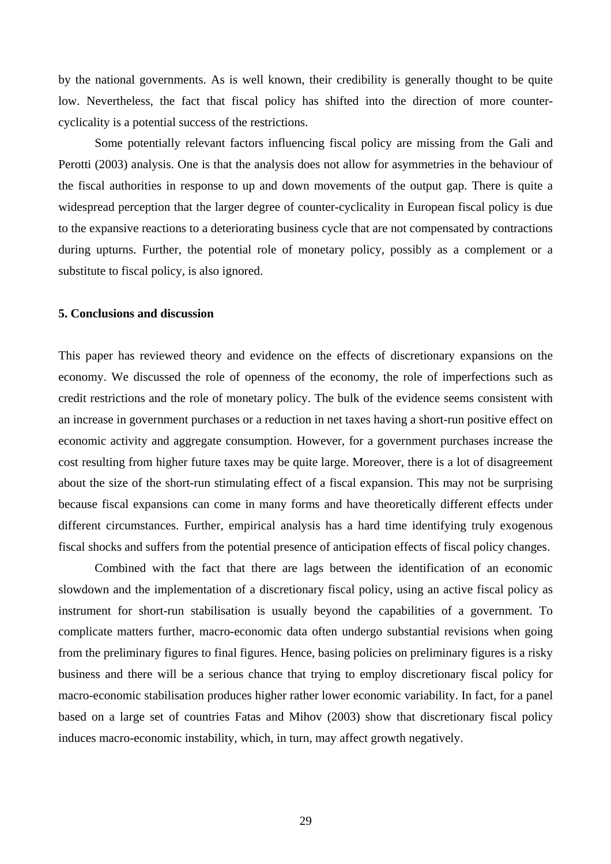by the national governments. As is well known, their credibility is generally thought to be quite low. Nevertheless, the fact that fiscal policy has shifted into the direction of more countercyclicality is a potential success of the restrictions.

Some potentially relevant factors influencing fiscal policy are missing from the Gali and Perotti (2003) analysis. One is that the analysis does not allow for asymmetries in the behaviour of the fiscal authorities in response to up and down movements of the output gap. There is quite a widespread perception that the larger degree of counter-cyclicality in European fiscal policy is due to the expansive reactions to a deteriorating business cycle that are not compensated by contractions during upturns. Further, the potential role of monetary policy, possibly as a complement or a substitute to fiscal policy, is also ignored.

#### **5. Conclusions and discussion**

This paper has reviewed theory and evidence on the effects of discretionary expansions on the economy. We discussed the role of openness of the economy, the role of imperfections such as credit restrictions and the role of monetary policy. The bulk of the evidence seems consistent with an increase in government purchases or a reduction in net taxes having a short-run positive effect on economic activity and aggregate consumption. However, for a government purchases increase the cost resulting from higher future taxes may be quite large. Moreover, there is a lot of disagreement about the size of the short-run stimulating effect of a fiscal expansion. This may not be surprising because fiscal expansions can come in many forms and have theoretically different effects under different circumstances. Further, empirical analysis has a hard time identifying truly exogenous fiscal shocks and suffers from the potential presence of anticipation effects of fiscal policy changes.

Combined with the fact that there are lags between the identification of an economic slowdown and the implementation of a discretionary fiscal policy, using an active fiscal policy as instrument for short-run stabilisation is usually beyond the capabilities of a government. To complicate matters further, macro-economic data often undergo substantial revisions when going from the preliminary figures to final figures. Hence, basing policies on preliminary figures is a risky business and there will be a serious chance that trying to employ discretionary fiscal policy for macro-economic stabilisation produces higher rather lower economic variability. In fact, for a panel based on a large set of countries Fatas and Mihov (2003) show that discretionary fiscal policy induces macro-economic instability, which, in turn, may affect growth negatively.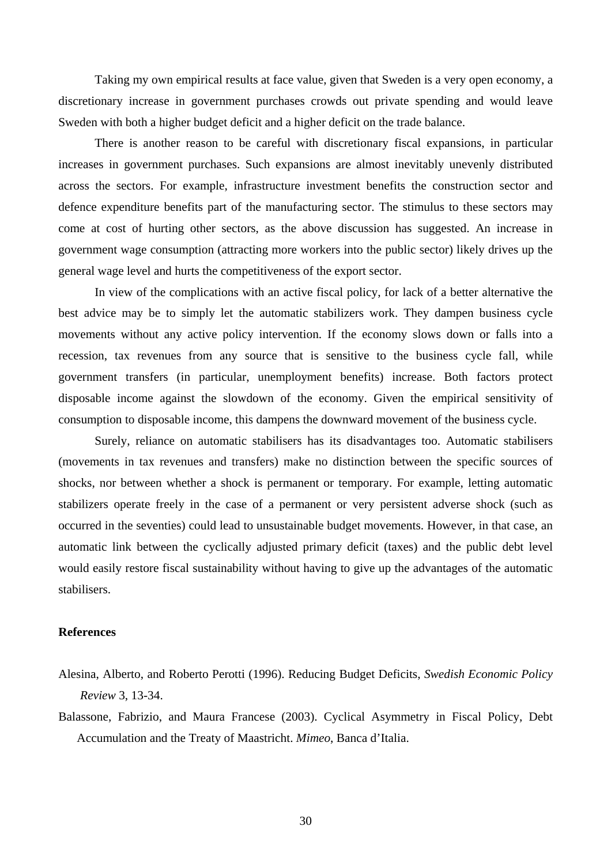Taking my own empirical results at face value, given that Sweden is a very open economy, a discretionary increase in government purchases crowds out private spending and would leave Sweden with both a higher budget deficit and a higher deficit on the trade balance.

There is another reason to be careful with discretionary fiscal expansions, in particular increases in government purchases. Such expansions are almost inevitably unevenly distributed across the sectors. For example, infrastructure investment benefits the construction sector and defence expenditure benefits part of the manufacturing sector. The stimulus to these sectors may come at cost of hurting other sectors, as the above discussion has suggested. An increase in government wage consumption (attracting more workers into the public sector) likely drives up the general wage level and hurts the competitiveness of the export sector.

In view of the complications with an active fiscal policy, for lack of a better alternative the best advice may be to simply let the automatic stabilizers work. They dampen business cycle movements without any active policy intervention. If the economy slows down or falls into a recession, tax revenues from any source that is sensitive to the business cycle fall, while government transfers (in particular, unemployment benefits) increase. Both factors protect disposable income against the slowdown of the economy. Given the empirical sensitivity of consumption to disposable income, this dampens the downward movement of the business cycle.

Surely, reliance on automatic stabilisers has its disadvantages too. Automatic stabilisers (movements in tax revenues and transfers) make no distinction between the specific sources of shocks, nor between whether a shock is permanent or temporary. For example, letting automatic stabilizers operate freely in the case of a permanent or very persistent adverse shock (such as occurred in the seventies) could lead to unsustainable budget movements. However, in that case, an automatic link between the cyclically adjusted primary deficit (taxes) and the public debt level would easily restore fiscal sustainability without having to give up the advantages of the automatic stabilisers.

### **References**

- Alesina, Alberto, and Roberto Perotti (1996). Reducing Budget Deficits, *Swedish Economic Policy Review* 3, 13-34.
- Balassone, Fabrizio, and Maura Francese (2003). Cyclical Asymmetry in Fiscal Policy, Debt Accumulation and the Treaty of Maastricht. *Mimeo*, Banca d'Italia.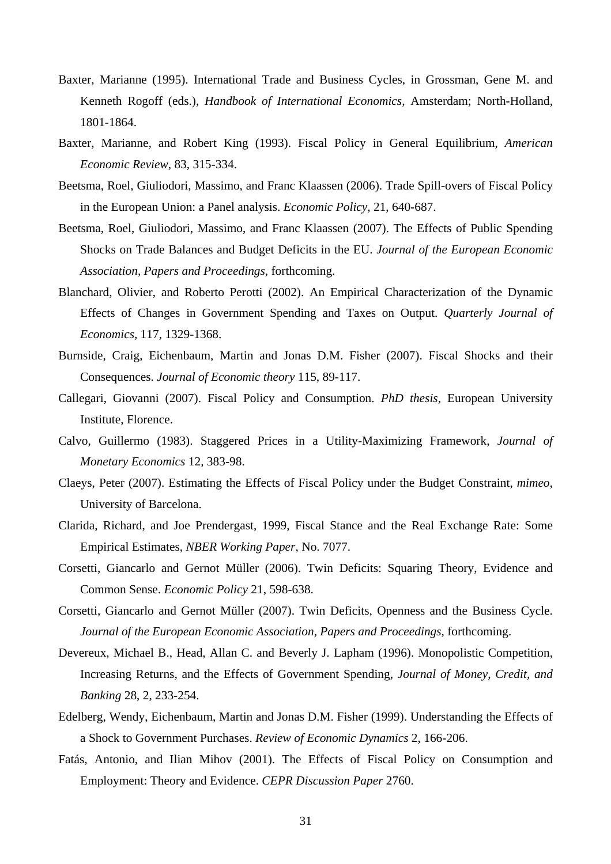- Baxter, Marianne (1995). International Trade and Business Cycles, in Grossman, Gene M. and Kenneth Rogoff (eds.), *Handbook of International Economics*, Amsterdam; North-Holland, 1801-1864.
- Baxter, Marianne, and Robert King (1993). Fiscal Policy in General Equilibrium, *American Economic Review*, 83, 315-334.
- Beetsma, Roel, Giuliodori, Massimo, and Franc Klaassen (2006). Trade Spill-overs of Fiscal Policy in the European Union: a Panel analysis. *Economic Policy,* 21, 640-687.
- Beetsma, Roel, Giuliodori, Massimo, and Franc Klaassen (2007). The Effects of Public Spending Shocks on Trade Balances and Budget Deficits in the EU. *Journal of the European Economic Association, Papers and Proceedings*, forthcoming.
- Blanchard, Olivier, and Roberto Perotti (2002). An Empirical Characterization of the Dynamic Effects of Changes in Government Spending and Taxes on Output. *Quarterly Journal of Economics,* 117, 1329-1368.
- Burnside, Craig, Eichenbaum, Martin and Jonas D.M. Fisher (2007). Fiscal Shocks and their Consequences. *Journal of Economic theory* 115, 89-117.
- Callegari, Giovanni (2007). Fiscal Policy and Consumption. *PhD thesis*, European University Institute, Florence.
- Calvo, Guillermo (1983). Staggered Prices in a Utility-Maximizing Framework, *Journal of Monetary Economics* 12, 383-98.
- Claeys, Peter (2007). Estimating the Effects of Fiscal Policy under the Budget Constraint, *mimeo*, University of Barcelona.
- Clarida, Richard, and Joe Prendergast, 1999, Fiscal Stance and the Real Exchange Rate: Some Empirical Estimates, *NBER Working Paper*, No. 7077.
- Corsetti, Giancarlo and Gernot Müller (2006). Twin Deficits: Squaring Theory, Evidence and Common Sense. *Economic Policy* 21, 598-638.
- Corsetti, Giancarlo and Gernot Müller (2007). Twin Deficits, Openness and the Business Cycle. *Journal of the European Economic Association, Papers and Proceedings*, forthcoming.
- Devereux, Michael B., Head, Allan C. and Beverly J. Lapham (1996). Monopolistic Competition, Increasing Returns, and the Effects of Government Spending, *Journal of Money, Credit, and Banking* 28, 2, 233-254.
- Edelberg, Wendy, Eichenbaum, Martin and Jonas D.M. Fisher (1999). Understanding the Effects of a Shock to Government Purchases. *Review of Economic Dynamics* 2, 166-206.
- Fatás, Antonio, and Ilian Mihov (2001). The Effects of Fiscal Policy on Consumption and Employment: Theory and Evidence. *CEPR Discussion Paper* 2760.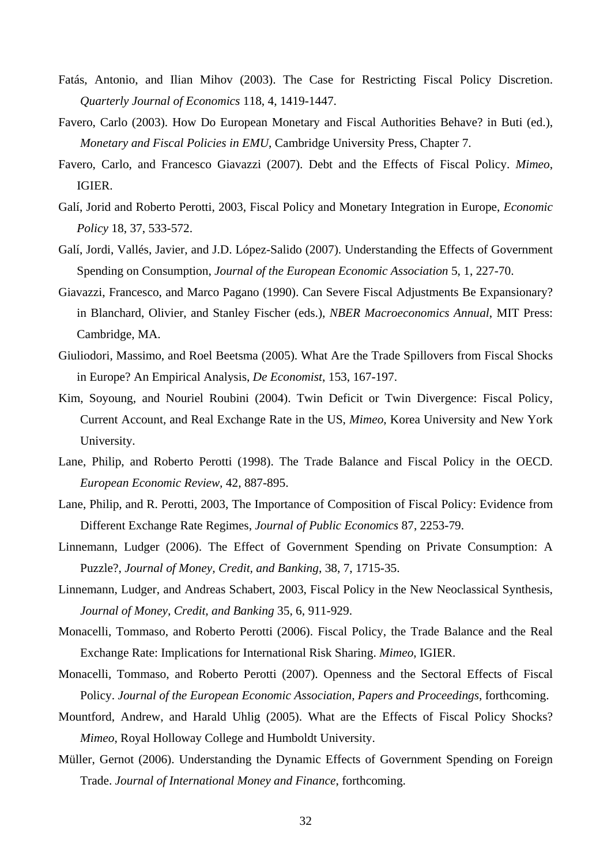- Fatás, Antonio, and Ilian Mihov (2003). The Case for Restricting Fiscal Policy Discretion. *Quarterly Journal of Economics* 118, 4, 1419-1447.
- Favero, Carlo (2003). How Do European Monetary and Fiscal Authorities Behave? in Buti (ed.), *Monetary and Fiscal Policies in EMU*, Cambridge University Press, Chapter 7.
- Favero, Carlo, and Francesco Giavazzi (2007). Debt and the Effects of Fiscal Policy. *Mimeo*, IGIER.
- Galí, Jorid and Roberto Perotti, 2003, Fiscal Policy and Monetary Integration in Europe, *Economic Policy* 18, 37, 533-572.
- Galí, Jordi, Vallés, Javier, and J.D. López-Salido (2007). Understanding the Effects of Government Spending on Consumption, *Journal of the European Economic Association* 5, 1, 227-70.
- Giavazzi, Francesco, and Marco Pagano (1990). Can Severe Fiscal Adjustments Be Expansionary? in Blanchard, Olivier, and Stanley Fischer (eds.), *NBER Macroeconomics Annual*, MIT Press: Cambridge, MA.
- Giuliodori, Massimo, and Roel Beetsma (2005). What Are the Trade Spillovers from Fiscal Shocks in Europe? An Empirical Analysis, *De Economist*, 153, 167-197.
- Kim, Soyoung, and Nouriel Roubini (2004). Twin Deficit or Twin Divergence: Fiscal Policy, Current Account, and Real Exchange Rate in the US, *Mimeo*, Korea University and New York University.
- Lane, Philip, and Roberto Perotti (1998). [The Trade Balance and Fiscal Policy in the OECD](http://ideas.repec.org/a/eee/eecrev/v42y1998i3-5p887-895.html). *[European Economic Review](http://ideas.repec.org/s/eee/eecrev.html),* 42, 887-895.
- Lane, Philip, and R. Perotti, 2003, The Importance of Composition of Fiscal Policy: Evidence from Different Exchange Rate Regimes, *Journal of Public Economics* 87, 2253-79.
- Linnemann, Ludger (2006). The Effect of Government Spending on Private Consumption: A Puzzle?, *Journal of Money, Credit, and Banking*, 38, 7, 1715-35.
- Linnemann, Ludger, and Andreas Schabert, 2003, Fiscal Policy in the New Neoclassical Synthesis, *Journal of Money, Credit, and Banking* 35, 6, 911-929.
- Monacelli, Tommaso, and Roberto Perotti (2006). Fiscal Policy, the Trade Balance and the Real Exchange Rate: Implications for International Risk Sharing. *Mimeo*, IGIER.
- Monacelli, Tommaso, and Roberto Perotti (2007). Openness and the Sectoral Effects of Fiscal Policy. *Journal of the European Economic Association, Papers and Proceedings*, forthcoming.
- Mountford, Andrew, and Harald Uhlig (2005). What are the Effects of Fiscal Policy Shocks? *Mimeo*, Royal Holloway College and Humboldt University.
- Müller, Gernot (2006). Understanding the Dynamic Effects of Government Spending on Foreign Trade. *Journal of International Money and Finance*, forthcoming.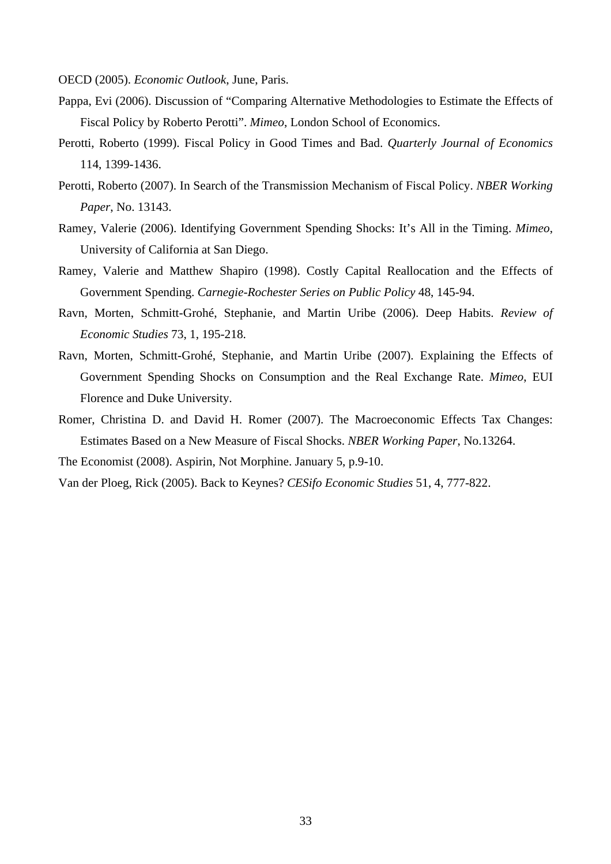OECD (2005). *Economic Outlook*, June, Paris.

- Pappa, Evi (2006). Discussion of "Comparing Alternative Methodologies to Estimate the Effects of Fiscal Policy by Roberto Perotti". *Mimeo*, London School of Economics.
- Perotti, Roberto (1999). Fiscal Policy in Good Times and Bad. *Quarterly Journal of Economics* 114, 1399-1436.
- Perotti, Roberto (2007). In Search of the Transmission Mechanism of Fiscal Policy. *NBER Working Paper*, No. 13143.
- Ramey, Valerie (2006). Identifying Government Spending Shocks: It's All in the Timing. *Mimeo*, University of California at San Diego.
- Ramey, Valerie and Matthew Shapiro (1998). Costly Capital Reallocation and the Effects of Government Spending. *Carnegie-Rochester Series on Public Policy* 48, 145-94.
- Ravn, Morten, Schmitt-Grohé, Stephanie, and Martin Uribe (2006). Deep Habits. *Review of Economic Studies* 73, 1, 195-218.
- Ravn, Morten, Schmitt-Grohé, Stephanie, and Martin Uribe (2007). Explaining the Effects of Government Spending Shocks on Consumption and the Real Exchange Rate. *Mimeo*, EUI Florence and Duke University.
- Romer, Christina D. and David H. Romer (2007). The Macroeconomic Effects Tax Changes: Estimates Based on a New Measure of Fiscal Shocks. *NBER Working Paper*, No.13264.

The Economist (2008). Aspirin, Not Morphine. January 5, p.9-10.

Van der Ploeg, Rick (2005). Back to Keynes? *CESifo Economic Studies* 51, 4, 777-822.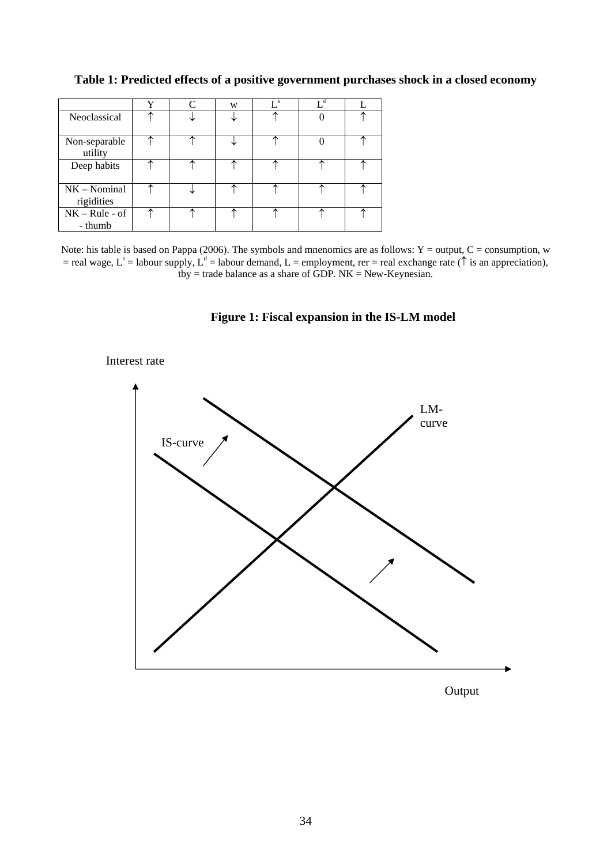# **Table 1: Predicted effects of a positive government purchases shock in a closed economy**

|                              | ٦z | W | $\mathbf{I}$ s |  |
|------------------------------|----|---|----------------|--|
| Neoclassical                 |    |   |                |  |
| Non-separable<br>utility     |    |   |                |  |
| Deep habits                  |    | ^ |                |  |
| $NK - Nominal$<br>rigidities |    |   |                |  |
| $NK - Rule - of$<br>- thumb  |    |   |                |  |

Note: his table is based on Pappa (2006). The symbols and mnenomics are as follows:  $Y =$  output,  $C =$  consumption, w = real wage, L<sup>s</sup> = labour supply, L<sup>d</sup> = labour demand, L = employment, rer = real exchange rate ( $\uparrow$  is an appreciation), tby  $=$  trade balance as a share of GDP. NK  $=$  New-Keynesian.

### **Figure 1: Fiscal expansion in the IS-LM model**



# Interest rate

Output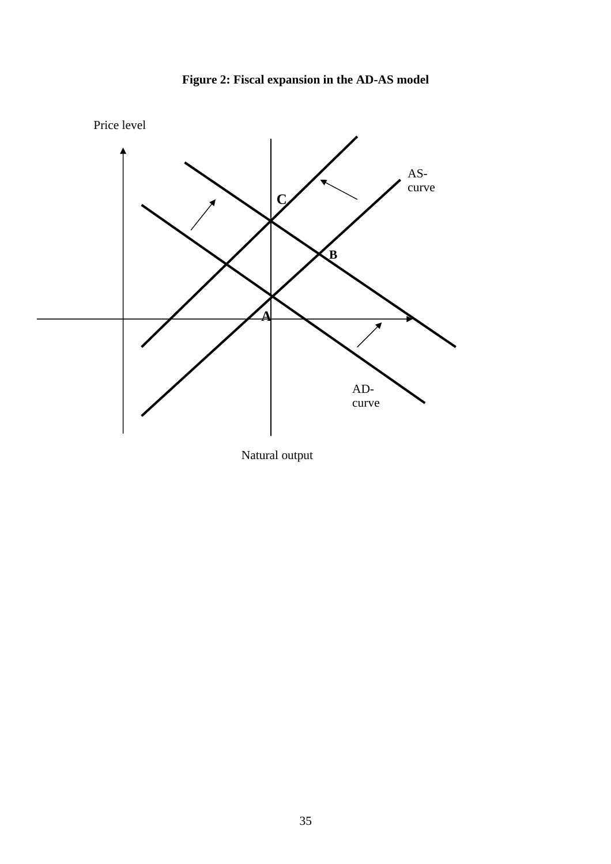



Natural output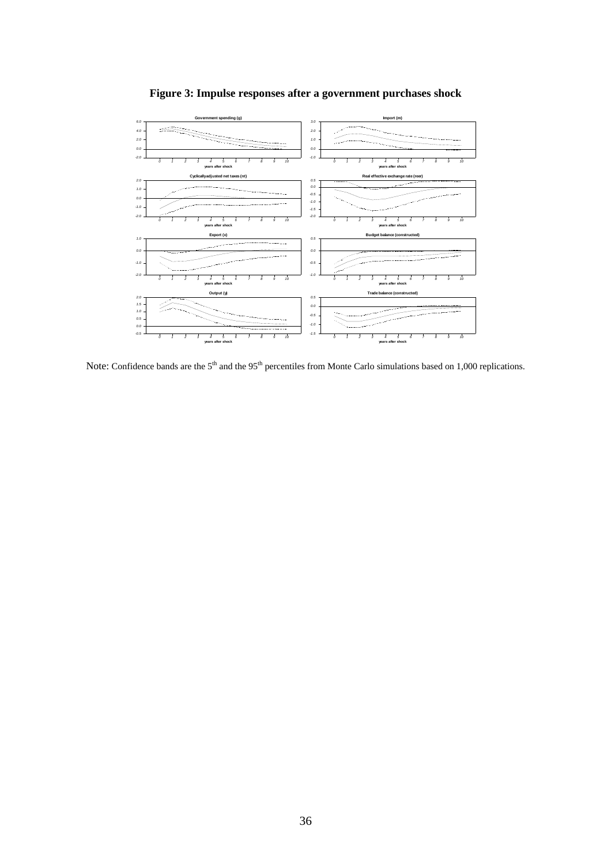

**Figure 3: Impulse responses after a government purchases shock** 

Note: Confidence bands are the 5<sup>th</sup> and the 95<sup>th</sup> percentiles from Monte Carlo simulations based on 1,000 replications.